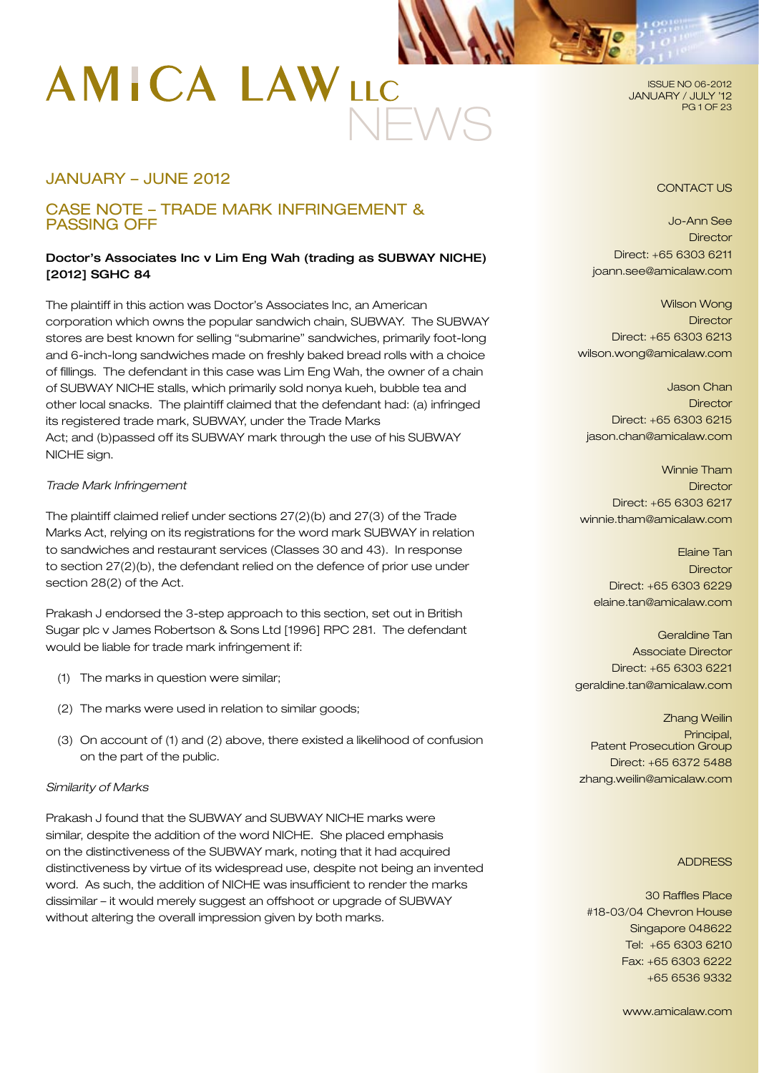# NEWS

# JANUARY – JUNE 2012

# CASE NOTE – TRADE MARK INFRINGEMENT & PASSING OFF

# Doctor's Associates Inc v Lim Eng Wah (trading as SUBWAY NICHE) [2012] SGHC 84

The plaintiff in this action was Doctor's Associates Inc, an American corporation which owns the popular sandwich chain, SUBWAY. The SUBWAY stores are best known for selling "submarine" sandwiches, primarily foot-long and 6-inch-long sandwiches made on freshly baked bread rolls with a choice of fillings. The defendant in this case was Lim Eng Wah, the owner of a chain of SUBWAY NICHE stalls, which primarily sold nonya kueh, bubble tea and other local snacks. The plaintiff claimed that the defendant had: (a) infringed its registered trade mark, SUBWAY, under the Trade Marks Act; and (b)passed off its SUBWAY mark through the use of his SUBWAY NICHE sign.

#### *Trade Mark Infringement*

The plaintiff claimed relief under sections 27(2)(b) and 27(3) of the Trade Marks Act, relying on its registrations for the word mark SUBWAY in relation to sandwiches and restaurant services (Classes 30 and 43). In response to section 27(2)(b), the defendant relied on the defence of prior use under section 28(2) of the Act.

Prakash J endorsed the 3-step approach to this section, set out in British Sugar plc v James Robertson & Sons Ltd [1996] RPC 281. The defendant would be liable for trade mark infringement if:

- (1) The marks in question were similar;
- (2) The marks were used in relation to similar goods;
- (3) On account of (1) and (2) above, there existed a likelihood of confusion on the part of the public.

#### *Similarity of Marks*

Prakash J found that the SUBWAY and SUBWAY NICHE marks were similar, despite the addition of the word NICHE. She placed emphasis on the distinctiveness of the SUBWAY mark, noting that it had acquired distinctiveness by virtue of its widespread use, despite not being an invented word. As such, the addition of NICHE was insufficient to render the marks dissimilar – it would merely suggest an offshoot or upgrade of SUBWAY without altering the overall impression given by both marks.

ISSUE NO 06-2012 JANUARY / JULY '12 PG 1 OF 23

#### CONTACT US

Jo-Ann See **Director** Direct: +65 6303 6211 joann.see@amicalaw.com

Wilson Wong **Director** Direct: +65 6303 6213 wilson.wong@amicalaw.com

Jason Chan **Director** Direct: +65 6303 6215 jason.chan@amicalaw.com

Winnie Tham **Director** Direct: +65 6303 6217 winnie.tham@amicalaw.com

Elaine Tan **Director** Direct: +65 6303 6229 elaine.tan@amicalaw.com

Geraldine Tan Associate Director Direct: +65 6303 6221 geraldine.tan@amicalaw.com

Zhang Weilin Principal, Patent Prosecution Group Direct: +65 6372 5488 zhang.weilin@amicalaw.com

#### **ADDRESS**

30 Raffles Place #18-03/04 Chevron House Singapore 048622 Tel: +65 6303 6210 Fax: +65 6303 6222 +65 6536 9332

www.amicalaw.com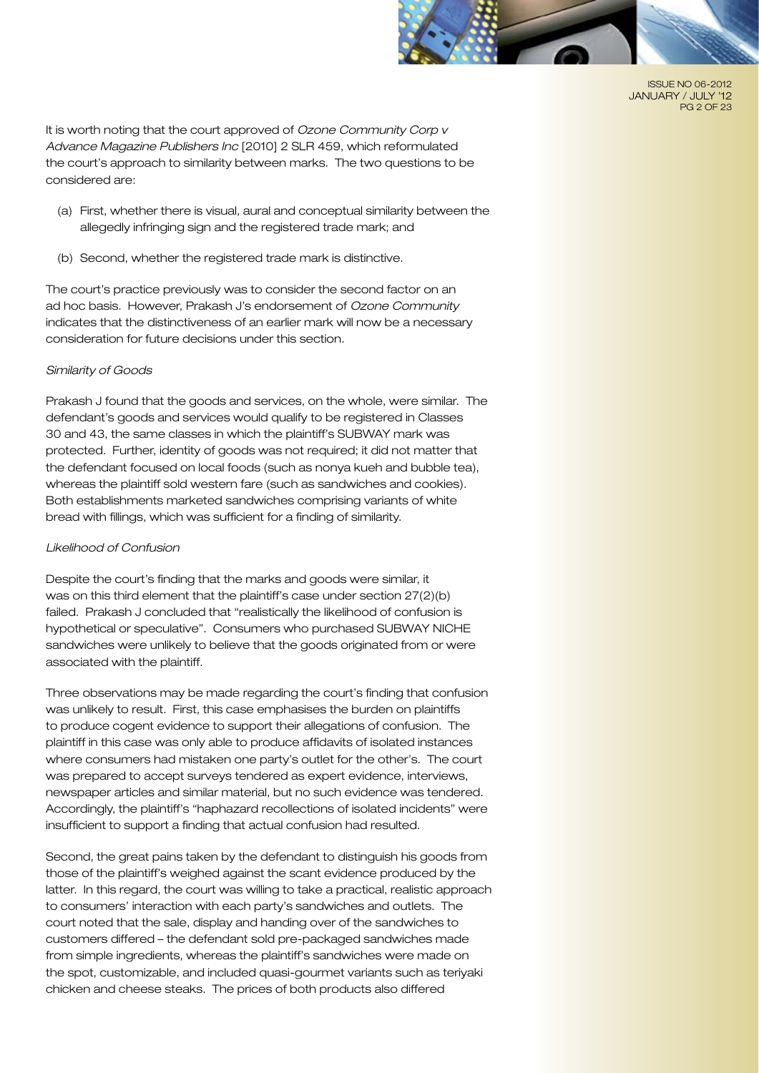

ISSUE NO 06-2012 JANUARY / JULY '12 PG 2 OF 23

It is worth noting that the court approved of *Ozone Community Corp v Advance Magazine Publishers Inc* [2010] 2 SLR 459, which reformulated the court's approach to similarity between marks. The two questions to be considered are:

- (a) First, whether there is visual, aural and conceptual similarity between the allegedly infringing sign and the registered trade mark; and
- (b) Second, whether the registered trade mark is distinctive.

The court's practice previously was to consider the second factor on an ad hoc basis. However, Prakash J's endorsement of *Ozone Community* indicates that the distinctiveness of an earlier mark will now be a necessary consideration for future decisions under this section.

#### *Similarity of Goods*

Prakash J found that the goods and services, on the whole, were similar. The defendant's goods and services would qualify to be registered in Classes 30 and 43, the same classes in which the plaintiff's SUBWAY mark was protected. Further, identity of goods was not required; it did not matter that the defendant focused on local foods (such as nonya kueh and bubble tea), whereas the plaintiff sold western fare (such as sandwiches and cookies). Both establishments marketed sandwiches comprising variants of white bread with fillings, which was sufficient for a finding of similarity.

#### *Likelihood of Confusion*

Despite the court's finding that the marks and goods were similar, it was on this third element that the plaintiff's case under section 27(2)(b) failed. Prakash J concluded that "realistically the likelihood of confusion is hypothetical or speculative". Consumers who purchased SUBWAY NICHE sandwiches were unlikely to believe that the goods originated from or were associated with the plaintiff.

Three observations may be made regarding the court's finding that confusion was unlikely to result. First, this case emphasises the burden on plaintiffs to produce cogent evidence to support their allegations of confusion. The plaintiff in this case was only able to produce affidavits of isolated instances where consumers had mistaken one party's outlet for the other's. The court was prepared to accept surveys tendered as expert evidence, interviews, newspaper articles and similar material, but no such evidence was tendered. Accordingly, the plaintiff's "haphazard recollections of isolated incidents" were insufficient to support a finding that actual confusion had resulted.

Second, the great pains taken by the defendant to distinguish his goods from those of the plaintiff's weighed against the scant evidence produced by the latter. In this regard, the court was willing to take a practical, realistic approach to consumers' interaction with each party's sandwiches and outlets. The court noted that the sale, display and handing over of the sandwiches to customers differed – the defendant sold pre-packaged sandwiches made from simple ingredients, whereas the plaintiff's sandwiches were made on the spot, customizable, and included quasi-gourmet variants such as teriyaki chicken and cheese steaks. The prices of both products also differed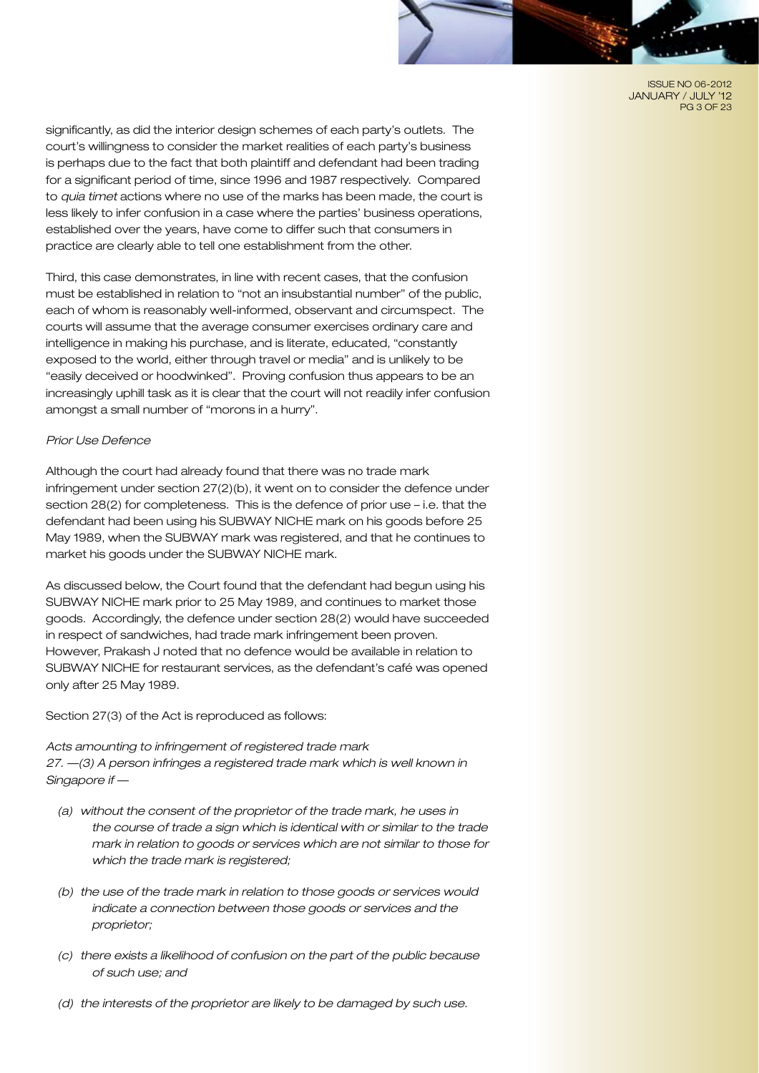ISSUE NO 06-2012 JANUARY / JULY '12 PG 3 OF 23

significantly, as did the interior design schemes of each party's outlets. The court's willingness to consider the market realities of each party's business is perhaps due to the fact that both plaintiff and defendant had been trading for a significant period of time, since 1996 and 1987 respectively. Compared to *quia timet* actions where no use of the marks has been made, the court is less likely to infer confusion in a case where the parties' business operations, established over the years, have come to differ such that consumers in practice are clearly able to tell one establishment from the other.

Third, this case demonstrates, in line with recent cases, that the confusion must be established in relation to "not an insubstantial number" of the public, each of whom is reasonably well-informed, observant and circumspect. The courts will assume that the average consumer exercises ordinary care and intelligence in making his purchase, and is literate, educated, "constantly exposed to the world, either through travel or media" and is unlikely to be "easily deceived or hoodwinked". Proving confusion thus appears to be an increasingly uphill task as it is clear that the court will not readily infer confusion amongst a small number of "morons in a hurry".

#### *Prior Use Defence*

Although the court had already found that there was no trade mark infringement under section 27(2)(b), it went on to consider the defence under section 28(2) for completeness. This is the defence of prior use – i.e. that the defendant had been using his SUBWAY NICHE mark on his goods before 25 May 1989, when the SUBWAY mark was registered, and that he continues to market his goods under the SUBWAY NICHE mark.

As discussed below, the Court found that the defendant had begun using his SUBWAY NICHE mark prior to 25 May 1989, and continues to market those goods. Accordingly, the defence under section 28(2) would have succeeded in respect of sandwiches, had trade mark infringement been proven. However, Prakash J noted that no defence would be available in relation to SUBWAY NICHE for restaurant services, as the defendant's café was opened only after 25 May 1989.

Section 27(3) of the Act is reproduced as follows:

*Acts amounting to infringement of registered trade mark 27. —(3) A person infringes a registered trade mark which is well known in Singapore if —* 

- *(a) without the consent of the proprietor of the trade mark, he uses in the course of trade a sign which is identical with or similar to the trade mark in relation to goods or services which are not similar to those for which the trade mark is registered;*
- *(b) the use of the trade mark in relation to those goods or services would indicate a connection between those goods or services and the proprietor;*
- *(c) there exists a likelihood of confusion on the part of the public because of such use; and*
- *(d) the interests of the proprietor are likely to be damaged by such use.*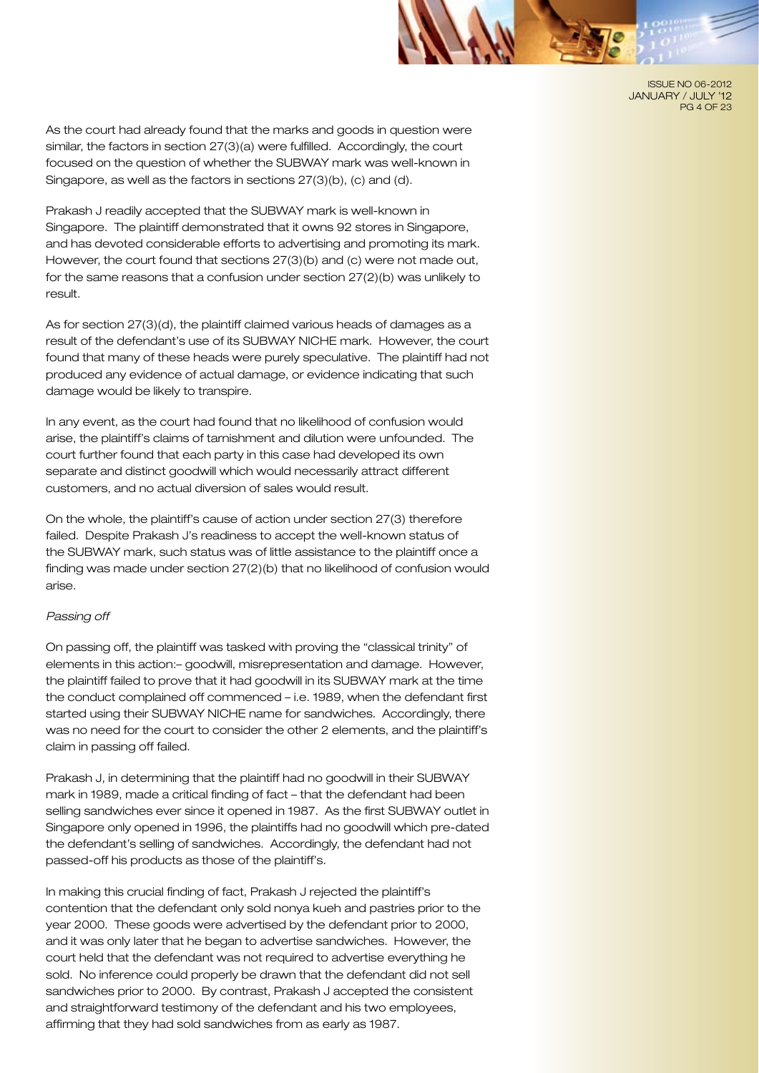ISSUE NO 06-2012 JANUARY / JULY '12 PG 4 OF 23

As the court had already found that the marks and goods in question were similar, the factors in section 27(3)(a) were fulfilled. Accordingly, the court focused on the question of whether the SUBWAY mark was well-known in Singapore, as well as the factors in sections 27(3)(b), (c) and (d).

Prakash J readily accepted that the SUBWAY mark is well-known in Singapore. The plaintiff demonstrated that it owns 92 stores in Singapore, and has devoted considerable efforts to advertising and promoting its mark. However, the court found that sections 27(3)(b) and (c) were not made out, for the same reasons that a confusion under section 27(2)(b) was unlikely to result.

As for section 27(3)(d), the plaintiff claimed various heads of damages as a result of the defendant's use of its SUBWAY NICHE mark. However, the court found that many of these heads were purely speculative. The plaintiff had not produced any evidence of actual damage, or evidence indicating that such damage would be likely to transpire.

In any event, as the court had found that no likelihood of confusion would arise, the plaintiff's claims of tarnishment and dilution were unfounded. The court further found that each party in this case had developed its own separate and distinct goodwill which would necessarily attract different customers, and no actual diversion of sales would result.

On the whole, the plaintiff's cause of action under section 27(3) therefore failed. Despite Prakash J's readiness to accept the well-known status of the SUBWAY mark, such status was of little assistance to the plaintiff once a finding was made under section 27(2)(b) that no likelihood of confusion would arise.

#### *Passing off*

On passing off, the plaintiff was tasked with proving the "classical trinity" of elements in this action:– goodwill, misrepresentation and damage. However, the plaintiff failed to prove that it had goodwill in its SUBWAY mark at the time the conduct complained off commenced – i.e. 1989, when the defendant first started using their SUBWAY NICHE name for sandwiches. Accordingly, there was no need for the court to consider the other 2 elements, and the plaintiff's claim in passing off failed.

Prakash J, in determining that the plaintiff had no goodwill in their SUBWAY mark in 1989, made a critical finding of fact – that the defendant had been selling sandwiches ever since it opened in 1987. As the first SUBWAY outlet in Singapore only opened in 1996, the plaintiffs had no goodwill which pre-dated the defendant's selling of sandwiches. Accordingly, the defendant had not passed-off his products as those of the plaintiff's.

In making this crucial finding of fact, Prakash J rejected the plaintiff's contention that the defendant only sold nonya kueh and pastries prior to the year 2000. These goods were advertised by the defendant prior to 2000, and it was only later that he began to advertise sandwiches. However, the court held that the defendant was not required to advertise everything he sold. No inference could properly be drawn that the defendant did not sell sandwiches prior to 2000. By contrast, Prakash J accepted the consistent and straightforward testimony of the defendant and his two employees, affirming that they had sold sandwiches from as early as 1987.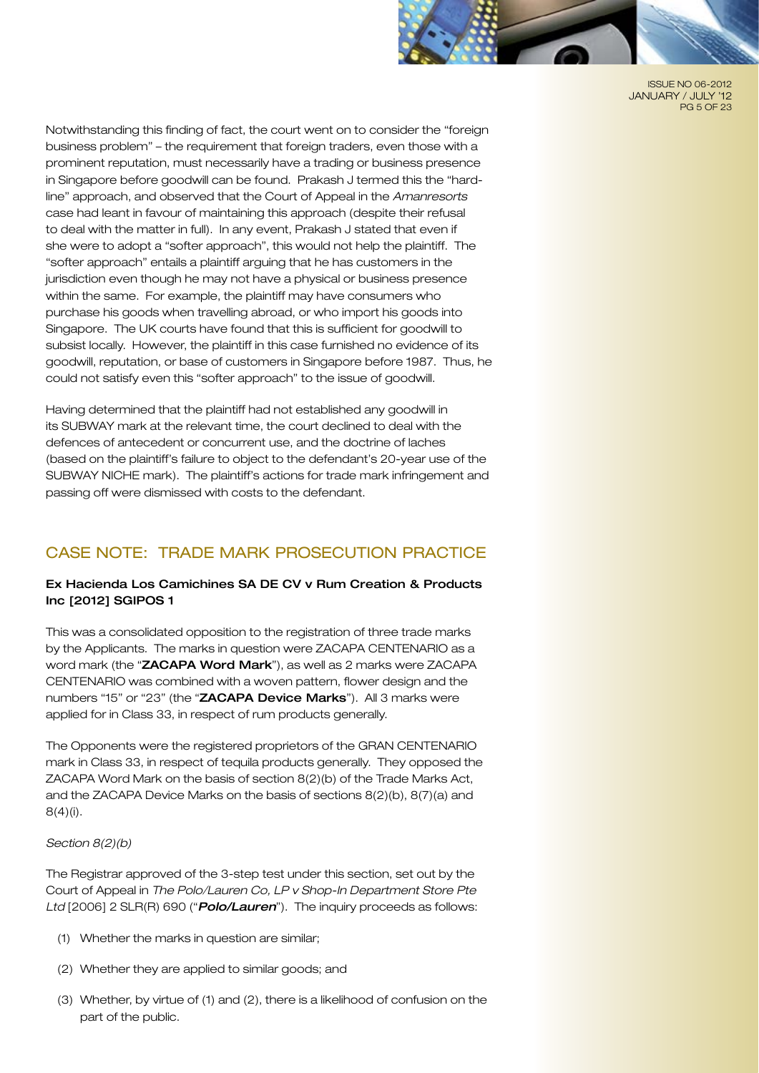

ISSUE NO 06-2012 JANUARY / JULY '12 PG 5 OF 23

Notwithstanding this finding of fact, the court went on to consider the "foreign business problem" – the requirement that foreign traders, even those with a prominent reputation, must necessarily have a trading or business presence in Singapore before goodwill can be found. Prakash J termed this the "hardline" approach, and observed that the Court of Appeal in the *Amanresorts* case had leant in favour of maintaining this approach (despite their refusal to deal with the matter in full). In any event, Prakash J stated that even if she were to adopt a "softer approach", this would not help the plaintiff. The "softer approach" entails a plaintiff arguing that he has customers in the jurisdiction even though he may not have a physical or business presence within the same. For example, the plaintiff may have consumers who purchase his goods when travelling abroad, or who import his goods into Singapore. The UK courts have found that this is sufficient for goodwill to subsist locally. However, the plaintiff in this case furnished no evidence of its goodwill, reputation, or base of customers in Singapore before 1987. Thus, he could not satisfy even this "softer approach" to the issue of goodwill.

Having determined that the plaintiff had not established any goodwill in its SUBWAY mark at the relevant time, the court declined to deal with the defences of antecedent or concurrent use, and the doctrine of laches (based on the plaintiff's failure to object to the defendant's 20-year use of the SUBWAY NICHE mark). The plaintiff's actions for trade mark infringement and passing off were dismissed with costs to the defendant.

# Case Note: Trade Mark PROSECUTION Practice

# Ex Hacienda Los Camichines SA DE CV v Rum Creation & Products Inc [2012] SGIPOS 1

This was a consolidated opposition to the registration of three trade marks by the Applicants. The marks in question were ZACAPA CENTENARIO as a word mark (the "ZACAPA Word Mark"), as well as 2 marks were ZACAPA CENTENARIO was combined with a woven pattern, flower design and the numbers "15" or "23" (the "ZACAPA Device Marks"). All 3 marks were applied for in Class 33, in respect of rum products generally.

The Opponents were the registered proprietors of the GRAN CENTENARIO mark in Class 33, in respect of tequila products generally. They opposed the ZACAPA Word Mark on the basis of section 8(2)(b) of the Trade Marks Act, and the ZACAPA Device Marks on the basis of sections 8(2)(b), 8(7)(a) and  $8(4)(i)$ .

#### *Section 8(2)(b)*

The Registrar approved of the 3-step test under this section, set out by the Court of Appeal in *The Polo/Lauren Co, LP v Shop-In Department Store Pte Ltd* [2006] 2 SLR(R) 690 ("*Polo/Lauren*"). The inquiry proceeds as follows:

- (1) Whether the marks in question are similar;
- (2) Whether they are applied to similar goods; and
- (3) Whether, by virtue of (1) and (2), there is a likelihood of confusion on the part of the public.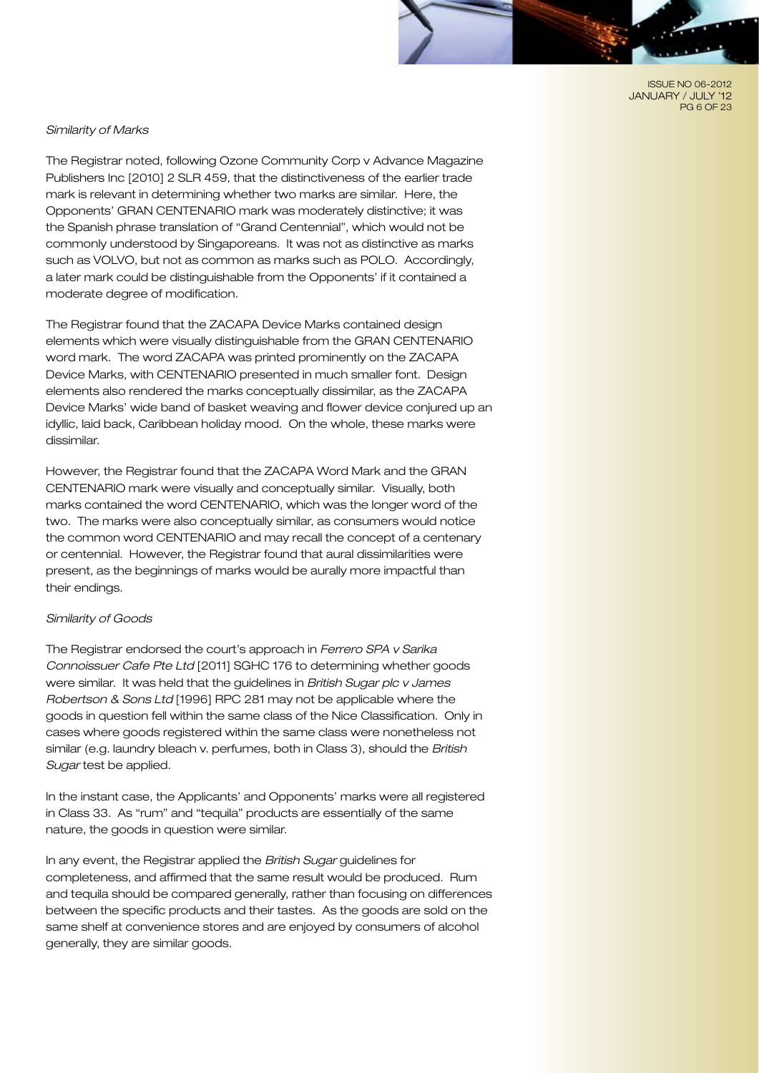ISSUE NO 06-2012 JANUARY / JULY '12 PG 6 OF 23

#### *Similarity of Marks*

The Registrar noted, following Ozone Community Corp v Advance Magazine Publishers Inc [2010] 2 SLR 459, that the distinctiveness of the earlier trade mark is relevant in determining whether two marks are similar. Here, the Opponents' GRAN CENTENARIO mark was moderately distinctive; it was the Spanish phrase translation of "Grand Centennial", which would not be commonly understood by Singaporeans. It was not as distinctive as marks such as VOLVO, but not as common as marks such as POLO. Accordingly, a later mark could be distinguishable from the Opponents' if it contained a moderate degree of modification.

The Registrar found that the ZACAPA Device Marks contained design elements which were visually distinguishable from the GRAN CENTENARIO word mark. The word ZACAPA was printed prominently on the ZACAPA Device Marks, with CENTENARIO presented in much smaller font. Design elements also rendered the marks conceptually dissimilar, as the ZACAPA Device Marks' wide band of basket weaving and flower device conjured up an idyllic, laid back, Caribbean holiday mood. On the whole, these marks were dissimilar.

However, the Registrar found that the ZACAPA Word Mark and the GRAN CENTENARIO mark were visually and conceptually similar. Visually, both marks contained the word CENTENARIO, which was the longer word of the two. The marks were also conceptually similar, as consumers would notice the common word CENTENARIO and may recall the concept of a centenary or centennial. However, the Registrar found that aural dissimilarities were present, as the beginnings of marks would be aurally more impactful than their endings.

#### *Similarity of Goods*

The Registrar endorsed the court's approach in *Ferrero SPA v Sarika Connoissuer Cafe Pte Ltd* [2011] SGHC 176 to determining whether goods were similar. It was held that the guidelines in *British Sugar plc v James Robertson & Sons Ltd* [1996] RPC 281 may not be applicable where the goods in question fell within the same class of the Nice Classification. Only in cases where goods registered within the same class were nonetheless not similar (e.g. laundry bleach v. perfumes, both in Class 3), should the *British Sugar* test be applied.

In the instant case, the Applicants' and Opponents' marks were all registered in Class 33. As "rum" and "tequila" products are essentially of the same nature, the goods in question were similar.

In any event, the Registrar applied the *British Sugar* guidelines for completeness, and affirmed that the same result would be produced. Rum and tequila should be compared generally, rather than focusing on differences between the specific products and their tastes. As the goods are sold on the same shelf at convenience stores and are enjoyed by consumers of alcohol generally, they are similar goods.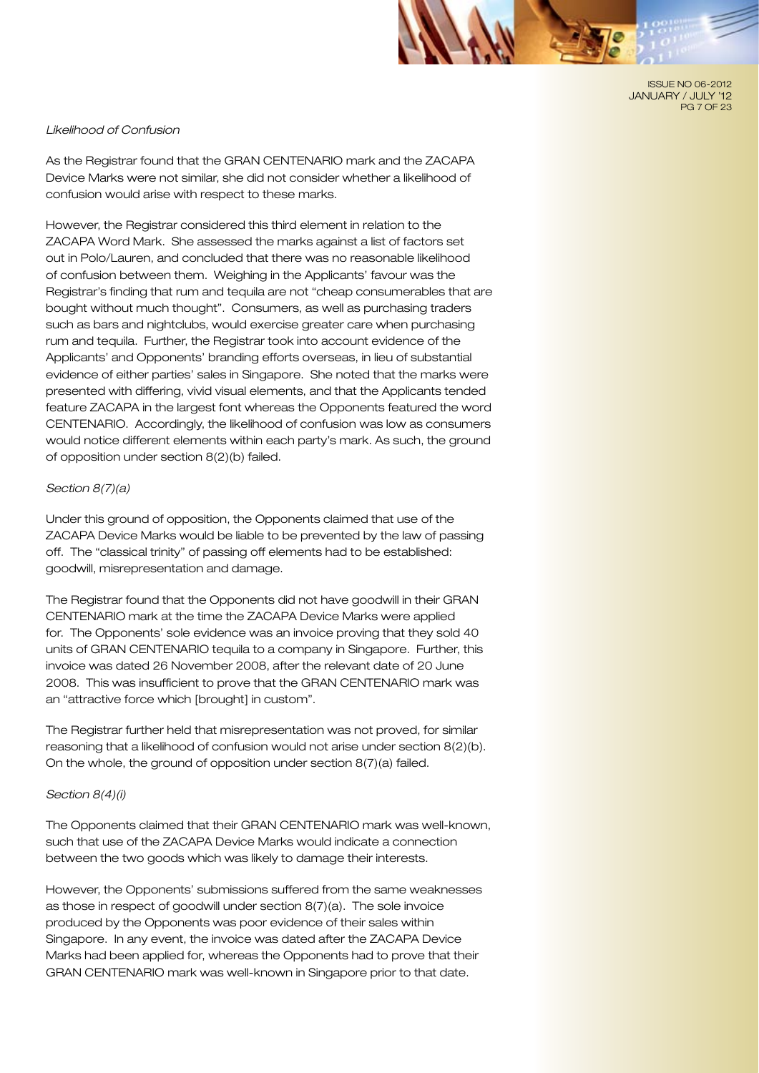ISSUE NO 06-2012 JANUARY / JULY '12 PG 7 OF 23

#### *Likelihood of Confusion*

As the Registrar found that the GRAN CENTENARIO mark and the ZACAPA Device Marks were not similar, she did not consider whether a likelihood of confusion would arise with respect to these marks.

However, the Registrar considered this third element in relation to the ZACAPA Word Mark. She assessed the marks against a list of factors set out in Polo/Lauren, and concluded that there was no reasonable likelihood of confusion between them. Weighing in the Applicants' favour was the Registrar's finding that rum and tequila are not "cheap consumerables that are bought without much thought". Consumers, as well as purchasing traders such as bars and nightclubs, would exercise greater care when purchasing rum and tequila. Further, the Registrar took into account evidence of the Applicants' and Opponents' branding efforts overseas, in lieu of substantial evidence of either parties' sales in Singapore. She noted that the marks were presented with differing, vivid visual elements, and that the Applicants tended feature ZACAPA in the largest font whereas the Opponents featured the word CENTENARIO. Accordingly, the likelihood of confusion was low as consumers would notice different elements within each party's mark. As such, the ground of opposition under section 8(2)(b) failed.

#### *Section 8(7)(a)*

Under this ground of opposition, the Opponents claimed that use of the ZACAPA Device Marks would be liable to be prevented by the law of passing off. The "classical trinity" of passing off elements had to be established: goodwill, misrepresentation and damage.

The Registrar found that the Opponents did not have goodwill in their GRAN CENTENARIO mark at the time the ZACAPA Device Marks were applied for. The Opponents' sole evidence was an invoice proving that they sold 40 units of GRAN CENTENARIO tequila to a company in Singapore. Further, this invoice was dated 26 November 2008, after the relevant date of 20 June 2008. This was insufficient to prove that the GRAN CENTENARIO mark was an "attractive force which [brought] in custom".

The Registrar further held that misrepresentation was not proved, for similar reasoning that a likelihood of confusion would not arise under section 8(2)(b). On the whole, the ground of opposition under section 8(7)(a) failed.

#### *Section 8(4)(i)*

The Opponents claimed that their GRAN CENTENARIO mark was well-known, such that use of the ZACAPA Device Marks would indicate a connection between the two goods which was likely to damage their interests.

However, the Opponents' submissions suffered from the same weaknesses as those in respect of goodwill under section 8(7)(a). The sole invoice produced by the Opponents was poor evidence of their sales within Singapore. In any event, the invoice was dated after the ZACAPA Device Marks had been applied for, whereas the Opponents had to prove that their GRAN CENTENARIO mark was well-known in Singapore prior to that date.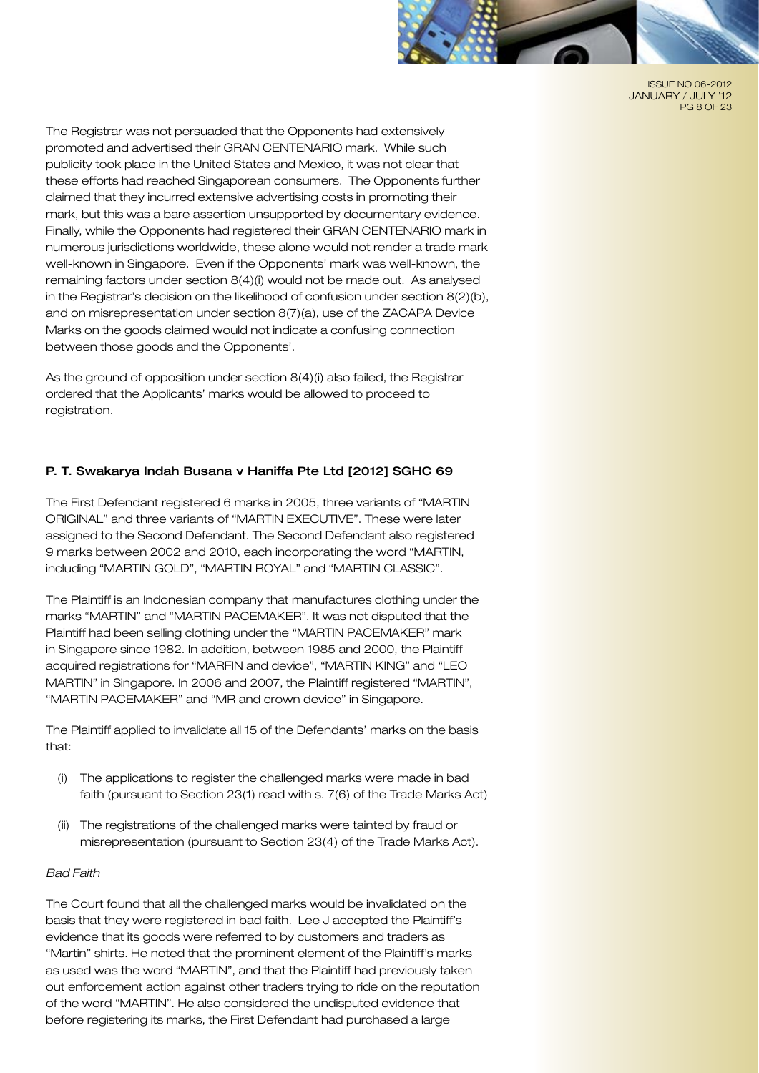

ISSUE NO 06-2012 JANUARY / JULY '12 PG 8 OF 23

The Registrar was not persuaded that the Opponents had extensively promoted and advertised their GRAN CENTENARIO mark. While such publicity took place in the United States and Mexico, it was not clear that these efforts had reached Singaporean consumers. The Opponents further claimed that they incurred extensive advertising costs in promoting their mark, but this was a bare assertion unsupported by documentary evidence. Finally, while the Opponents had registered their GRAN CENTENARIO mark in numerous jurisdictions worldwide, these alone would not render a trade mark well-known in Singapore. Even if the Opponents' mark was well-known, the remaining factors under section 8(4)(i) would not be made out. As analysed in the Registrar's decision on the likelihood of confusion under section 8(2)(b), and on misrepresentation under section 8(7)(a), use of the ZACAPA Device Marks on the goods claimed would not indicate a confusing connection between those goods and the Opponents'.

As the ground of opposition under section 8(4)(i) also failed, the Registrar ordered that the Applicants' marks would be allowed to proceed to registration.

# P. T. Swakarya Indah Busana v Haniffa Pte Ltd [2012] SGHC 69

The First Defendant registered 6 marks in 2005, three variants of "MARTIN ORIGINAL" and three variants of "MARTIN EXECUTIVE". These were later assigned to the Second Defendant. The Second Defendant also registered 9 marks between 2002 and 2010, each incorporating the word "MARTIN, including "MARTIN GOLD", "MARTIN ROYAL" and "MARTIN CLASSIC".

The Plaintiff is an Indonesian company that manufactures clothing under the marks "MARTIN" and "MARTIN PACEMAKER". It was not disputed that the Plaintiff had been selling clothing under the "MARTIN PACEMAKER" mark in Singapore since 1982. In addition, between 1985 and 2000, the Plaintiff acquired registrations for "MARFIN and device", "MARTIN KING" and "LEO MARTIN" in Singapore. In 2006 and 2007, the Plaintiff registered "MARTIN", "MARTIN PACEMAKER" and "MR and crown device" in Singapore.

The Plaintiff applied to invalidate all 15 of the Defendants' marks on the basis that:

- (i) The applications to register the challenged marks were made in bad faith (pursuant to Section 23(1) read with s. 7(6) of the Trade Marks Act)
- (ii) The registrations of the challenged marks were tainted by fraud or misrepresentation (pursuant to Section 23(4) of the Trade Marks Act).

# *Bad Faith*

The Court found that all the challenged marks would be invalidated on the basis that they were registered in bad faith. Lee J accepted the Plaintiff's evidence that its goods were referred to by customers and traders as "Martin" shirts. He noted that the prominent element of the Plaintiff's marks as used was the word "MARTIN", and that the Plaintiff had previously taken out enforcement action against other traders trying to ride on the reputation of the word "MARTIN". He also considered the undisputed evidence that before registering its marks, the First Defendant had purchased a large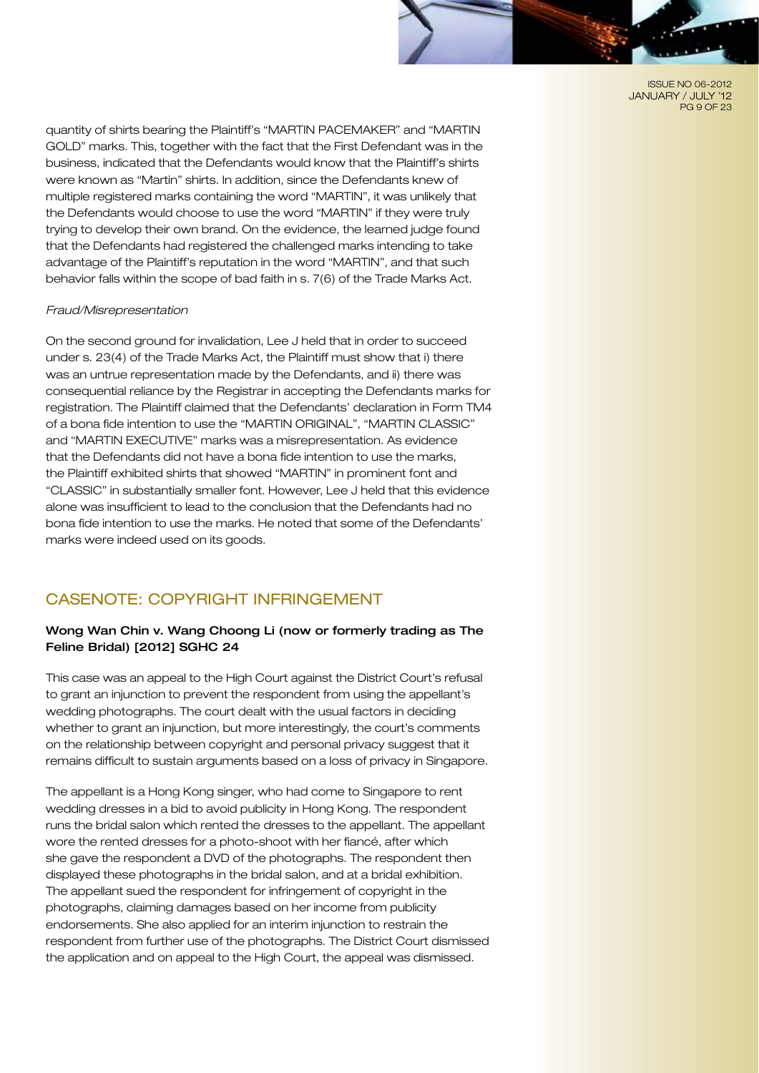ISSUE NO 06-2012 JANUARY / JULY '12 PG 9 OF 23

quantity of shirts bearing the Plaintiff's "MARTIN PACEMAKER" and "MARTIN GOLD" marks. This, together with the fact that the First Defendant was in the business, indicated that the Defendants would know that the Plaintiff's shirts were known as "Martin" shirts. In addition, since the Defendants knew of multiple registered marks containing the word "MARTIN", it was unlikely that the Defendants would choose to use the word "MARTIN" if they were truly trying to develop their own brand. On the evidence, the learned judge found that the Defendants had registered the challenged marks intending to take advantage of the Plaintiff's reputation in the word "MARTIN", and that such behavior falls within the scope of bad faith in s. 7(6) of the Trade Marks Act.

#### *Fraud/Misrepresentation*

On the second ground for invalidation, Lee J held that in order to succeed under s. 23(4) of the Trade Marks Act, the Plaintiff must show that i) there was an untrue representation made by the Defendants, and ii) there was consequential reliance by the Registrar in accepting the Defendants marks for registration. The Plaintiff claimed that the Defendants' declaration in Form TM4 of a bona fide intention to use the "MARTIN ORIGINAL", "MARTIN CLASSIC" and "MARTIN EXECUTIVE" marks was a misrepresentation. As evidence that the Defendants did not have a bona fide intention to use the marks, the Plaintiff exhibited shirts that showed "MARTIN" in prominent font and "CLASSIC" in substantially smaller font. However, Lee J held that this evidence alone was insufficient to lead to the conclusion that the Defendants had no bona fide intention to use the marks. He noted that some of the Defendants' marks were indeed used on its goods.

# CASENOTE: COPYRIGHT INFRINGEMENT

## Wong Wan Chin v. Wang Choong Li (now or formerly trading as The Feline Bridal) [2012] SGHC 24

This case was an appeal to the High Court against the District Court's refusal to grant an injunction to prevent the respondent from using the appellant's wedding photographs. The court dealt with the usual factors in deciding whether to grant an injunction, but more interestingly, the court's comments on the relationship between copyright and personal privacy suggest that it remains difficult to sustain arguments based on a loss of privacy in Singapore.

The appellant is a Hong Kong singer, who had come to Singapore to rent wedding dresses in a bid to avoid publicity in Hong Kong. The respondent runs the bridal salon which rented the dresses to the appellant. The appellant wore the rented dresses for a photo-shoot with her fiancé, after which she gave the respondent a DVD of the photographs. The respondent then displayed these photographs in the bridal salon, and at a bridal exhibition. The appellant sued the respondent for infringement of copyright in the photographs, claiming damages based on her income from publicity endorsements. She also applied for an interim injunction to restrain the respondent from further use of the photographs. The District Court dismissed the application and on appeal to the High Court, the appeal was dismissed.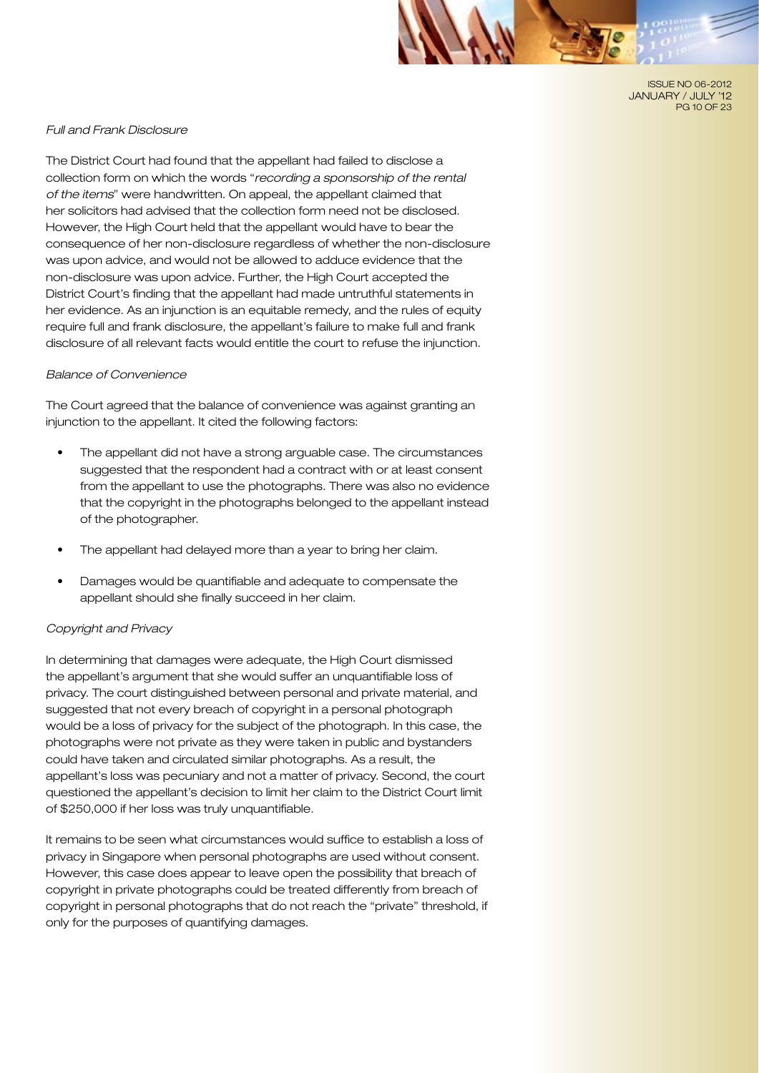ISSUE NO 06-2012 JANUARY / JULY '12 PG 10 OF 23

#### *Full and Frank Disclosure*

The District Court had found that the appellant had failed to disclose a collection form on which the words "*recording a sponsorship of the rental of the items*" were handwritten. On appeal, the appellant claimed that her solicitors had advised that the collection form need not be disclosed. However, the High Court held that the appellant would have to bear the consequence of her non-disclosure regardless of whether the non-disclosure was upon advice, and would not be allowed to adduce evidence that the non-disclosure was upon advice. Further, the High Court accepted the District Court's finding that the appellant had made untruthful statements in her evidence. As an injunction is an equitable remedy, and the rules of equity require full and frank disclosure, the appellant's failure to make full and frank disclosure of all relevant facts would entitle the court to refuse the injunction.

#### *Balance of Convenience*

The Court agreed that the balance of convenience was against granting an injunction to the appellant. It cited the following factors:

- The appellant did not have a strong arguable case. The circumstances suggested that the respondent had a contract with or at least consent from the appellant to use the photographs. There was also no evidence that the copyright in the photographs belonged to the appellant instead of the photographer.
- The appellant had delayed more than a year to bring her claim.
- Damages would be quantifiable and adequate to compensate the appellant should she finally succeed in her claim.

#### *Copyright and Privacy*

In determining that damages were adequate, the High Court dismissed the appellant's argument that she would suffer an unquantifiable loss of privacy. The court distinguished between personal and private material, and suggested that not every breach of copyright in a personal photograph would be a loss of privacy for the subject of the photograph. In this case, the photographs were not private as they were taken in public and bystanders could have taken and circulated similar photographs. As a result, the appellant's loss was pecuniary and not a matter of privacy. Second, the court questioned the appellant's decision to limit her claim to the District Court limit of \$250,000 if her loss was truly unquantifiable.

It remains to be seen what circumstances would suffice to establish a loss of privacy in Singapore when personal photographs are used without consent. However, this case does appear to leave open the possibility that breach of copyright in private photographs could be treated differently from breach of copyright in personal photographs that do not reach the "private" threshold, if only for the purposes of quantifying damages.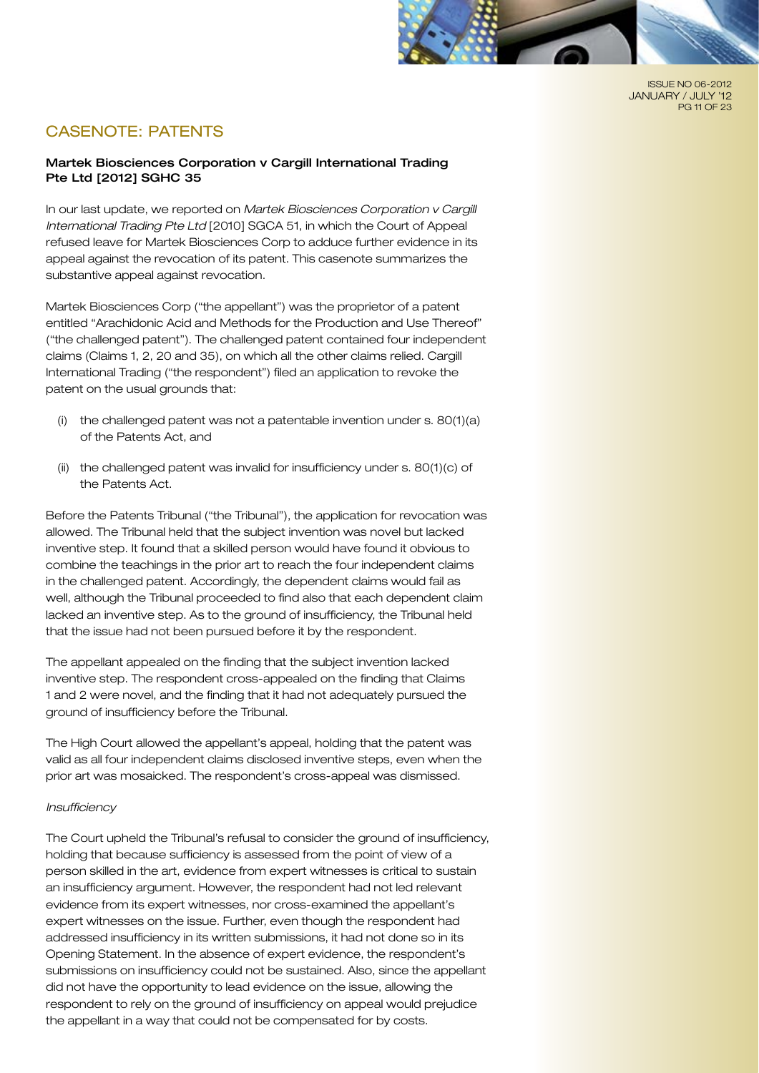

ISSUE NO 06-2012 JANUARY / JULY '12 PG 11 OF 23

# CASENOTE: PATENTS

# Martek Biosciences Corporation v Cargill International Trading Pte Ltd [2012] SGHC 35

In our last update, we reported on *Martek Biosciences Corporation v Cargill International Trading Pte Ltd* [2010] SGCA 51, in which the Court of Appeal refused leave for Martek Biosciences Corp to adduce further evidence in its appeal against the revocation of its patent. This casenote summarizes the substantive appeal against revocation.

Martek Biosciences Corp ("the appellant") was the proprietor of a patent entitled "Arachidonic Acid and Methods for the Production and Use Thereof" ("the challenged patent"). The challenged patent contained four independent claims (Claims 1, 2, 20 and 35), on which all the other claims relied. Cargill International Trading ("the respondent") filed an application to revoke the patent on the usual grounds that:

- (i) the challenged patent was not a patentable invention under s. 80(1)(a) of the Patents Act, and
- (ii) the challenged patent was invalid for insufficiency under s. 80(1)(c) of the Patents Act.

Before the Patents Tribunal ("the Tribunal"), the application for revocation was allowed. The Tribunal held that the subject invention was novel but lacked inventive step. It found that a skilled person would have found it obvious to combine the teachings in the prior art to reach the four independent claims in the challenged patent. Accordingly, the dependent claims would fail as well, although the Tribunal proceeded to find also that each dependent claim lacked an inventive step. As to the ground of insufficiency, the Tribunal held that the issue had not been pursued before it by the respondent.

The appellant appealed on the finding that the subject invention lacked inventive step. The respondent cross-appealed on the finding that Claims 1 and 2 were novel, and the finding that it had not adequately pursued the ground of insufficiency before the Tribunal.

The High Court allowed the appellant's appeal, holding that the patent was valid as all four independent claims disclosed inventive steps, even when the prior art was mosaicked. The respondent's cross-appeal was dismissed.

#### *Insufficiency*

The Court upheld the Tribunal's refusal to consider the ground of insufficiency, holding that because sufficiency is assessed from the point of view of a person skilled in the art, evidence from expert witnesses is critical to sustain an insufficiency argument. However, the respondent had not led relevant evidence from its expert witnesses, nor cross-examined the appellant's expert witnesses on the issue. Further, even though the respondent had addressed insufficiency in its written submissions, it had not done so in its Opening Statement. In the absence of expert evidence, the respondent's submissions on insufficiency could not be sustained. Also, since the appellant did not have the opportunity to lead evidence on the issue, allowing the respondent to rely on the ground of insufficiency on appeal would prejudice the appellant in a way that could not be compensated for by costs.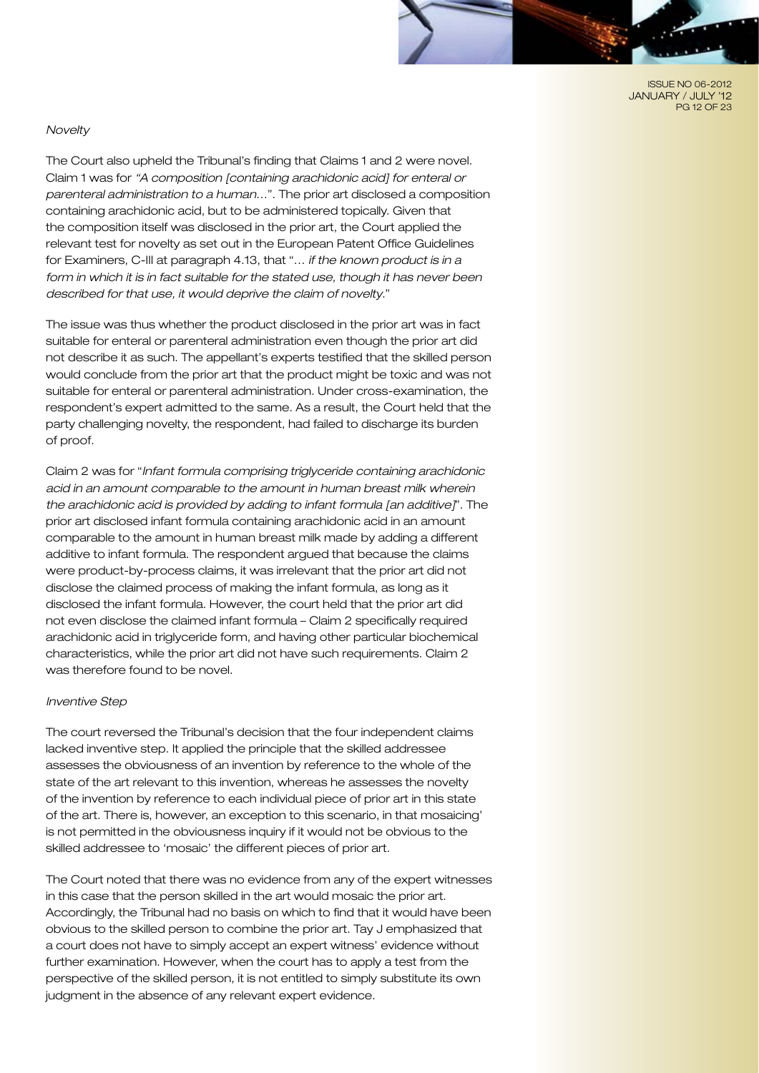ISSUE NO 06-2012 JANUARY / JULY '12 PG 12 OF 23

#### *Novelty*

The Court also upheld the Tribunal's finding that Claims 1 and 2 were novel. Claim 1 was for *"A composition [containing arachidonic acid] for enteral or parenteral administration to a human*…". The prior art disclosed a composition containing arachidonic acid, but to be administered topically. Given that the composition itself was disclosed in the prior art, the Court applied the relevant test for novelty as set out in the European Patent Office Guidelines for Examiners, C-III at paragraph 4.13, that "… *if the known product is in a form in which it is in fact suitable for the stated use, though it has never been described for that use, it would deprive the claim of novelty*."

The issue was thus whether the product disclosed in the prior art was in fact suitable for enteral or parenteral administration even though the prior art did not describe it as such. The appellant's experts testified that the skilled person would conclude from the prior art that the product might be toxic and was not suitable for enteral or parenteral administration. Under cross-examination, the respondent's expert admitted to the same. As a result, the Court held that the party challenging novelty, the respondent, had failed to discharge its burden of proof.

Claim 2 was for "*Infant formula comprising triglyceride containing arachidonic acid in an amount comparable to the amount in human breast milk wherein the arachidonic acid is provided by adding to infant formula [an additive]*". The prior art disclosed infant formula containing arachidonic acid in an amount comparable to the amount in human breast milk made by adding a different additive to infant formula. The respondent argued that because the claims were product-by-process claims, it was irrelevant that the prior art did not disclose the claimed process of making the infant formula, as long as it disclosed the infant formula. However, the court held that the prior art did not even disclose the claimed infant formula – Claim 2 specifically required arachidonic acid in triglyceride form, and having other particular biochemical characteristics, while the prior art did not have such requirements. Claim 2 was therefore found to be novel.

#### *Inventive Step*

The court reversed the Tribunal's decision that the four independent claims lacked inventive step. It applied the principle that the skilled addressee assesses the obviousness of an invention by reference to the whole of the state of the art relevant to this invention, whereas he assesses the novelty of the invention by reference to each individual piece of prior art in this state of the art. There is, however, an exception to this scenario, in that mosaicing' is not permitted in the obviousness inquiry if it would not be obvious to the skilled addressee to 'mosaic' the different pieces of prior art.

The Court noted that there was no evidence from any of the expert witnesses in this case that the person skilled in the art would mosaic the prior art. Accordingly, the Tribunal had no basis on which to find that it would have been obvious to the skilled person to combine the prior art. Tay J emphasized that a court does not have to simply accept an expert witness' evidence without further examination. However, when the court has to apply a test from the perspective of the skilled person, it is not entitled to simply substitute its own judgment in the absence of any relevant expert evidence.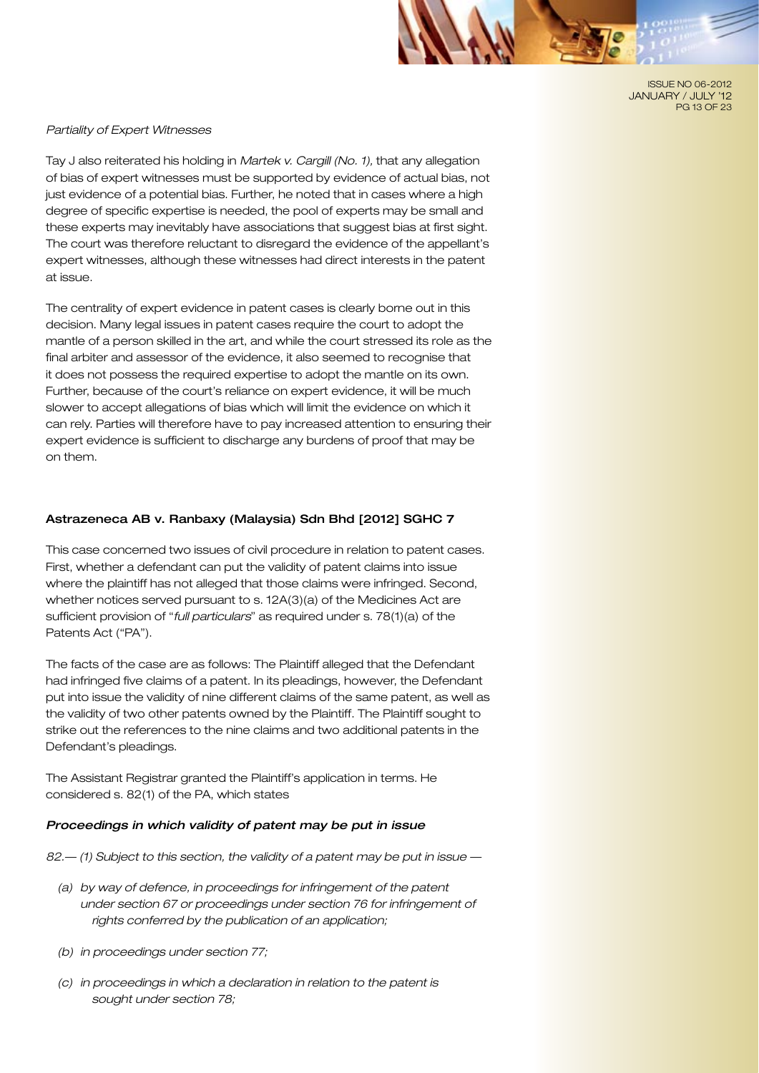ISSUE NO 06-2012 JANUARY / JULY '12 PG 13 OF 23

#### *Partiality of Expert Witnesses*

Tay J also reiterated his holding in *Martek v. Cargill (No. 1),* that any allegation of bias of expert witnesses must be supported by evidence of actual bias, not just evidence of a potential bias. Further, he noted that in cases where a high degree of specific expertise is needed, the pool of experts may be small and these experts may inevitably have associations that suggest bias at first sight. The court was therefore reluctant to disregard the evidence of the appellant's expert witnesses, although these witnesses had direct interests in the patent at issue.

The centrality of expert evidence in patent cases is clearly borne out in this decision. Many legal issues in patent cases require the court to adopt the mantle of a person skilled in the art, and while the court stressed its role as the final arbiter and assessor of the evidence, it also seemed to recognise that it does not possess the required expertise to adopt the mantle on its own. Further, because of the court's reliance on expert evidence, it will be much slower to accept allegations of bias which will limit the evidence on which it can rely. Parties will therefore have to pay increased attention to ensuring their expert evidence is sufficient to discharge any burdens of proof that may be on them.

#### Astrazeneca AB v. Ranbaxy (Malaysia) Sdn Bhd [2012] SGHC 7

This case concerned two issues of civil procedure in relation to patent cases. First, whether a defendant can put the validity of patent claims into issue where the plaintiff has not alleged that those claims were infringed. Second, whether notices served pursuant to s. 12A(3)(a) of the Medicines Act are sufficient provision of "*full particulars*" as required under s. 78(1)(a) of the Patents Act ("PA").

The facts of the case are as follows: The Plaintiff alleged that the Defendant had infringed five claims of a patent. In its pleadings, however, the Defendant put into issue the validity of nine different claims of the same patent, as well as the validity of two other patents owned by the Plaintiff. The Plaintiff sought to strike out the references to the nine claims and two additional patents in the Defendant's pleadings.

The Assistant Registrar granted the Plaintiff's application in terms. He considered s. 82(1) of the PA, which states

#### *Proceedings in which validity of patent may be put in issue*

*82.— (1) Subject to this section, the validity of a patent may be put in issue —*

- *(a) by way of defence, in proceedings for infringement of the patent under section 67 or proceedings under section 76 for infringement of rights conferred by the publication of an application;*
- *(b) in proceedings under section 77;*
- *(c) in proceedings in which a declaration in relation to the patent is sought under section 78;*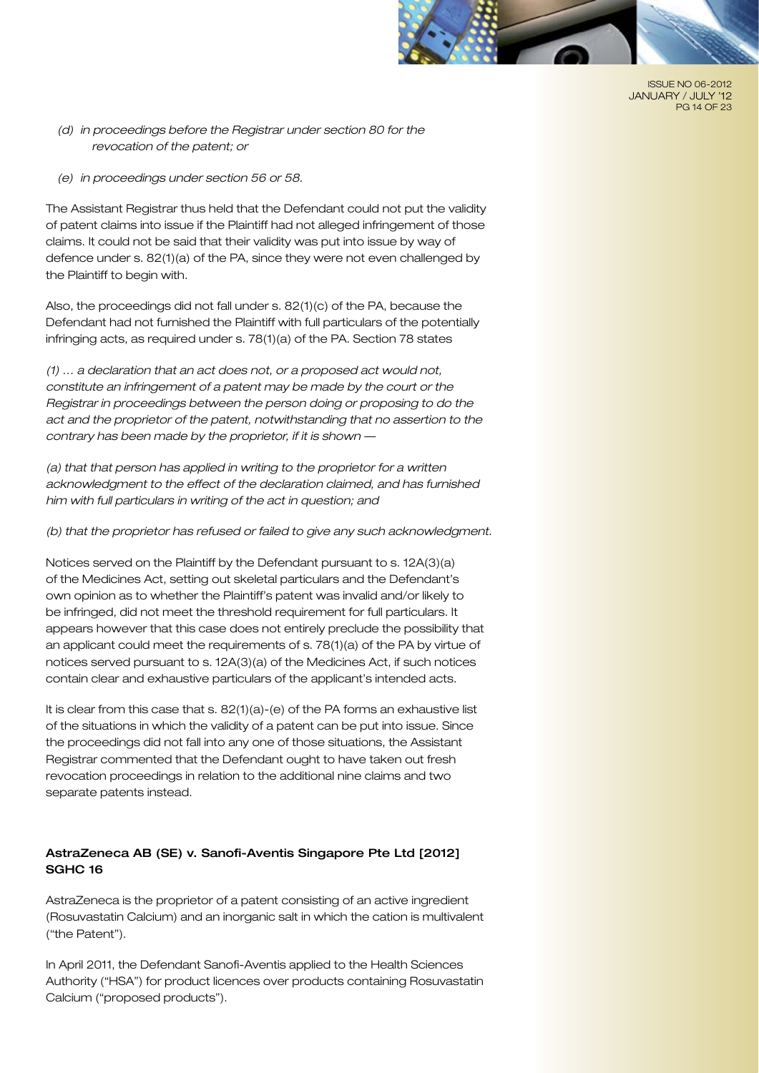

ISSUE NO 06-2012 JANUARY / JULY '12 PG 14 OF 23

- *(d) in proceedings before the Registrar under section 80 for the revocation of the patent; or*
- *(e) in proceedings under section 56 or 58.*

The Assistant Registrar thus held that the Defendant could not put the validity of patent claims into issue if the Plaintiff had not alleged infringement of those claims. It could not be said that their validity was put into issue by way of defence under s. 82(1)(a) of the PA, since they were not even challenged by the Plaintiff to begin with.

Also, the proceedings did not fall under s. 82(1)(c) of the PA, because the Defendant had not furnished the Plaintiff with full particulars of the potentially infringing acts, as required under s. 78(1)(a) of the PA. Section 78 states

*(1) … a declaration that an act does not, or a proposed act would not, constitute an infringement of a patent may be made by the court or the Registrar in proceedings between the person doing or proposing to do the act and the proprietor of the patent, notwithstanding that no assertion to the contrary has been made by the proprietor, if it is shown —*

*(a) that that person has applied in writing to the proprietor for a written acknowledgment to the effect of the declaration claimed, and has furnished him with full particulars in writing of the act in question; and*

*(b) that the proprietor has refused or failed to give any such acknowledgment.*

Notices served on the Plaintiff by the Defendant pursuant to s. 12A(3)(a) of the Medicines Act, setting out skeletal particulars and the Defendant's own opinion as to whether the Plaintiff's patent was invalid and/or likely to be infringed, did not meet the threshold requirement for full particulars. It appears however that this case does not entirely preclude the possibility that an applicant could meet the requirements of s. 78(1)(a) of the PA by virtue of notices served pursuant to s. 12A(3)(a) of the Medicines Act, if such notices contain clear and exhaustive particulars of the applicant's intended acts.

It is clear from this case that s. 82(1)(a)-(e) of the PA forms an exhaustive list of the situations in which the validity of a patent can be put into issue. Since the proceedings did not fall into any one of those situations, the Assistant Registrar commented that the Defendant ought to have taken out fresh revocation proceedings in relation to the additional nine claims and two separate patents instead.

# AstraZeneca AB (SE) v. Sanofi-Aventis Singapore Pte Ltd [2012] SGHC 16

AstraZeneca is the proprietor of a patent consisting of an active ingredient (Rosuvastatin Calcium) and an inorganic salt in which the cation is multivalent ("the Patent").

In April 2011, the Defendant Sanofi-Aventis applied to the Health Sciences Authority ("HSA") for product licences over products containing Rosuvastatin Calcium ("proposed products").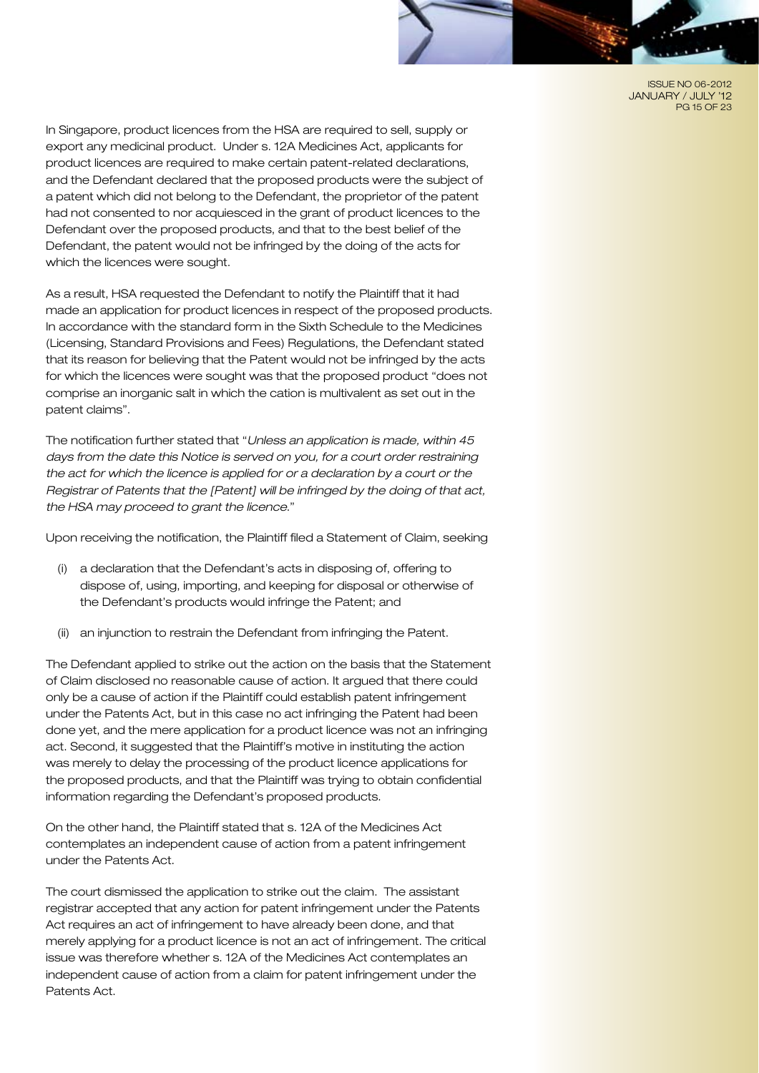ISSUE NO 06-2012 JANUARY / JULY '12 PG 15 OF 23

In Singapore, product licences from the HSA are required to sell, supply or export any medicinal product. Under s. 12A Medicines Act, applicants for product licences are required to make certain patent-related declarations, and the Defendant declared that the proposed products were the subject of a patent which did not belong to the Defendant, the proprietor of the patent had not consented to nor acquiesced in the grant of product licences to the Defendant over the proposed products, and that to the best belief of the Defendant, the patent would not be infringed by the doing of the acts for which the licences were sought.

As a result, HSA requested the Defendant to notify the Plaintiff that it had made an application for product licences in respect of the proposed products. In accordance with the standard form in the Sixth Schedule to the Medicines (Licensing, Standard Provisions and Fees) Regulations, the Defendant stated that its reason for believing that the Patent would not be infringed by the acts for which the licences were sought was that the proposed product "does not comprise an inorganic salt in which the cation is multivalent as set out in the patent claims".

The notification further stated that "*Unless an application is made, within 45 days from the date this Notice is served on you, for a court order restraining the act for which the licence is applied for or a declaration by a court or the Registrar of Patents that the [Patent] will be infringed by the doing of that act, the HSA may proceed to grant the licence*."

Upon receiving the notification, the Plaintiff filed a Statement of Claim, seeking

- (i) a declaration that the Defendant's acts in disposing of, offering to dispose of, using, importing, and keeping for disposal or otherwise of the Defendant's products would infringe the Patent; and
- (ii) an injunction to restrain the Defendant from infringing the Patent.

The Defendant applied to strike out the action on the basis that the Statement of Claim disclosed no reasonable cause of action. It argued that there could only be a cause of action if the Plaintiff could establish patent infringement under the Patents Act, but in this case no act infringing the Patent had been done yet, and the mere application for a product licence was not an infringing act. Second, it suggested that the Plaintiff's motive in instituting the action was merely to delay the processing of the product licence applications for the proposed products, and that the Plaintiff was trying to obtain confidential information regarding the Defendant's proposed products.

On the other hand, the Plaintiff stated that s. 12A of the Medicines Act contemplates an independent cause of action from a patent infringement under the Patents Act.

The court dismissed the application to strike out the claim. The assistant registrar accepted that any action for patent infringement under the Patents Act requires an act of infringement to have already been done, and that merely applying for a product licence is not an act of infringement. The critical issue was therefore whether s. 12A of the Medicines Act contemplates an independent cause of action from a claim for patent infringement under the Patents Act.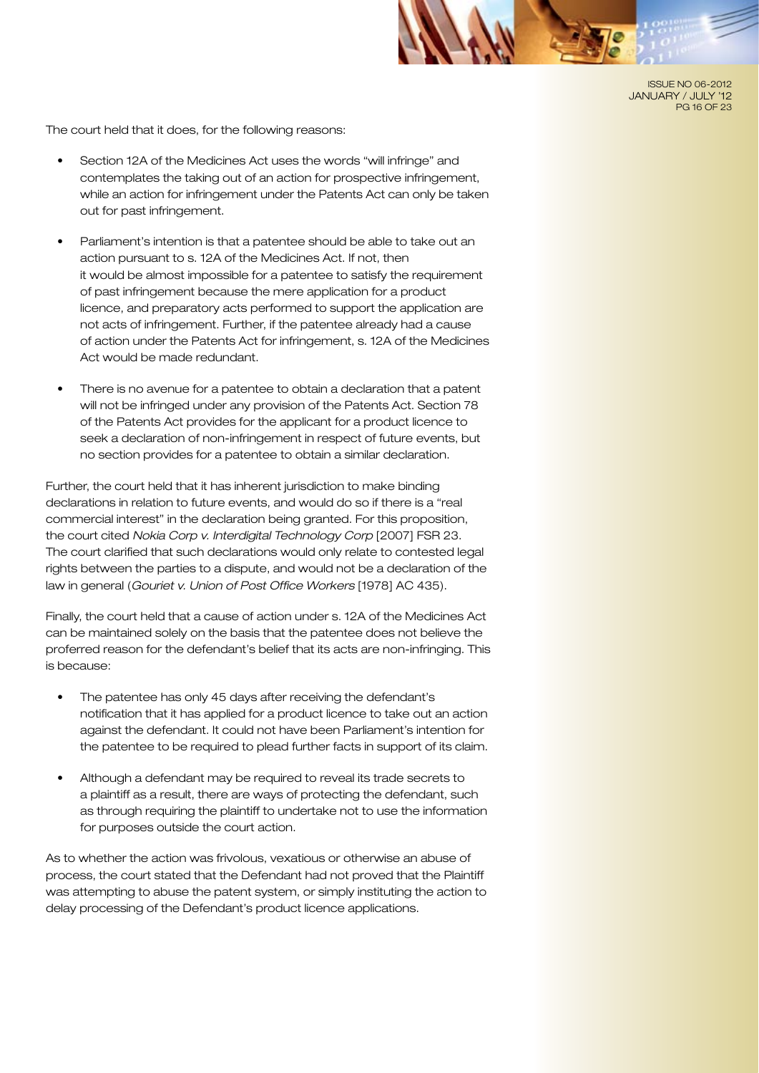

The court held that it does, for the following reasons:

- Section 12A of the Medicines Act uses the words "will infringe" and contemplates the taking out of an action for prospective infringement, while an action for infringement under the Patents Act can only be taken out for past infringement.
- Parliament's intention is that a patentee should be able to take out an action pursuant to s. 12A of the Medicines Act. If not, then it would be almost impossible for a patentee to satisfy the requirement of past infringement because the mere application for a product licence, and preparatory acts performed to support the application are not acts of infringement. Further, if the patentee already had a cause of action under the Patents Act for infringement, s. 12A of the Medicines Act would be made redundant.
- There is no avenue for a patentee to obtain a declaration that a patent will not be infringed under any provision of the Patents Act. Section 78 of the Patents Act provides for the applicant for a product licence to seek a declaration of non-infringement in respect of future events, but no section provides for a patentee to obtain a similar declaration.

Further, the court held that it has inherent jurisdiction to make binding declarations in relation to future events, and would do so if there is a "real commercial interest" in the declaration being granted. For this proposition, the court cited *Nokia Corp v. Interdigital Technology Corp* [2007] FSR 23. The court clarified that such declarations would only relate to contested legal rights between the parties to a dispute, and would not be a declaration of the law in general (*Gouriet v. Union of Post Office Workers* [1978] AC 435).

Finally, the court held that a cause of action under s. 12A of the Medicines Act can be maintained solely on the basis that the patentee does not believe the proferred reason for the defendant's belief that its acts are non-infringing. This is because:

- The patentee has only 45 days after receiving the defendant's notification that it has applied for a product licence to take out an action against the defendant. It could not have been Parliament's intention for the patentee to be required to plead further facts in support of its claim.
- Although a defendant may be required to reveal its trade secrets to a plaintiff as a result, there are ways of protecting the defendant, such as through requiring the plaintiff to undertake not to use the information for purposes outside the court action.

As to whether the action was frivolous, vexatious or otherwise an abuse of process, the court stated that the Defendant had not proved that the Plaintiff was attempting to abuse the patent system, or simply instituting the action to delay processing of the Defendant's product licence applications.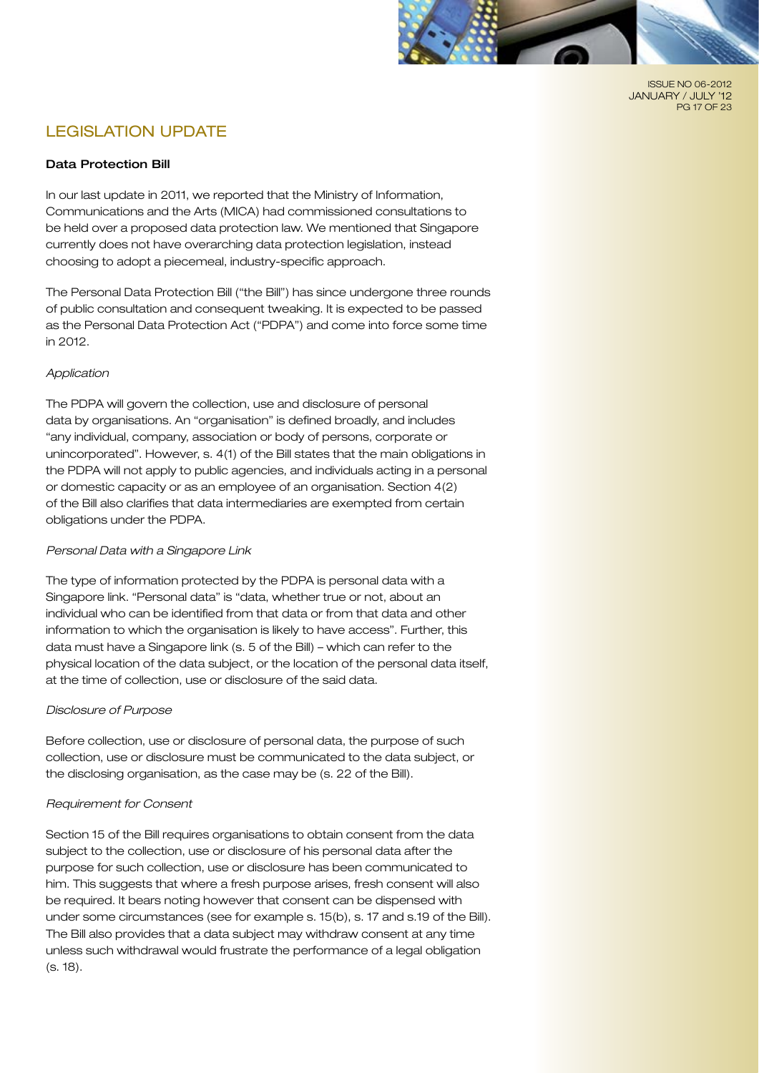

ISSUE NO 06-2012 JANUARY / JULY '12 PG 17 OF 23

# LEGISLATION UPDATE

## Data Protection Bill

In our last update in 2011, we reported that the Ministry of Information, Communications and the Arts (MICA) had commissioned consultations to be held over a proposed data protection law. We mentioned that Singapore currently does not have overarching data protection legislation, instead choosing to adopt a piecemeal, industry-specific approach.

The Personal Data Protection Bill ("the Bill") has since undergone three rounds of public consultation and consequent tweaking. It is expected to be passed as the Personal Data Protection Act ("PDPA") and come into force some time in 2012.

#### *Application*

The PDPA will govern the collection, use and disclosure of personal data by organisations. An "organisation" is defined broadly, and includes "any individual, company, association or body of persons, corporate or unincorporated". However, s. 4(1) of the Bill states that the main obligations in the PDPA will not apply to public agencies, and individuals acting in a personal or domestic capacity or as an employee of an organisation. Section 4(2) of the Bill also clarifies that data intermediaries are exempted from certain obligations under the PDPA.

# *Personal Data with a Singapore Link*

The type of information protected by the PDPA is personal data with a Singapore link. "Personal data" is "data, whether true or not, about an individual who can be identified from that data or from that data and other information to which the organisation is likely to have access". Further, this data must have a Singapore link (s. 5 of the Bill) – which can refer to the physical location of the data subject, or the location of the personal data itself, at the time of collection, use or disclosure of the said data.

# *Disclosure of Purpose*

Before collection, use or disclosure of personal data, the purpose of such collection, use or disclosure must be communicated to the data subject, or the disclosing organisation, as the case may be (s. 22 of the Bill).

#### *Requirement for Consent*

Section 15 of the Bill requires organisations to obtain consent from the data subject to the collection, use or disclosure of his personal data after the purpose for such collection, use or disclosure has been communicated to him. This suggests that where a fresh purpose arises, fresh consent will also be required. It bears noting however that consent can be dispensed with under some circumstances (see for example s. 15(b), s. 17 and s.19 of the Bill). The Bill also provides that a data subject may withdraw consent at any time unless such withdrawal would frustrate the performance of a legal obligation (s. 18).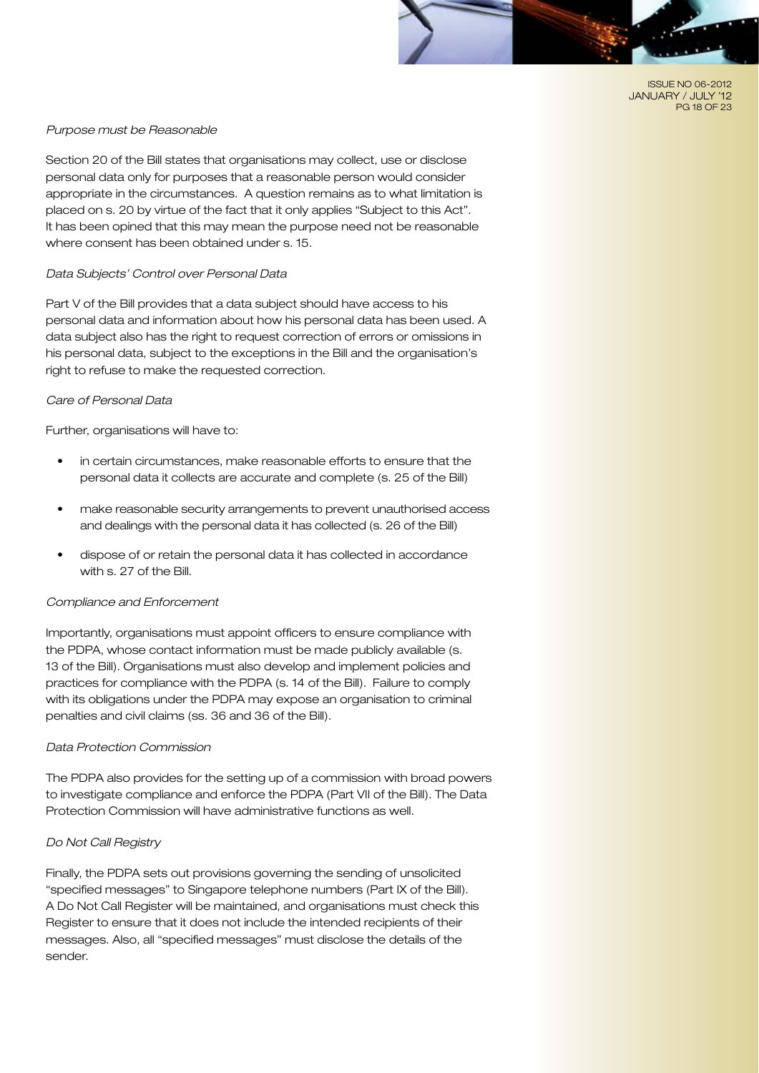ISSUE NO 06-2012 JANUARY / JULY '12 PG 18 OF 23

#### *Purpose must be Reasonable*

Section 20 of the Bill states that organisations may collect, use or disclose personal data only for purposes that a reasonable person would consider appropriate in the circumstances. A question remains as to what limitation is placed on s. 20 by virtue of the fact that it only applies "Subject to this Act". It has been opined that this may mean the purpose need not be reasonable where consent has been obtained under s. 15.

#### *Data Subjects' Control over Personal Data*

Part V of the Bill provides that a data subject should have access to his personal data and information about how his personal data has been used. A data subject also has the right to request correction of errors or omissions in his personal data, subject to the exceptions in the Bill and the organisation's right to refuse to make the requested correction.

#### *Care of Personal Data*

Further, organisations will have to:

- in certain circumstances, make reasonable efforts to ensure that the personal data it collects are accurate and complete (s. 25 of the Bill)
- make reasonable security arrangements to prevent unauthorised access and dealings with the personal data it has collected (s. 26 of the Bill)
- dispose of or retain the personal data it has collected in accordance with s. 27 of the Bill.

#### *Compliance and Enforcement*

Importantly, organisations must appoint officers to ensure compliance with the PDPA, whose contact information must be made publicly available (s. 13 of the Bill). Organisations must also develop and implement policies and practices for compliance with the PDPA (s. 14 of the Bill). Failure to comply with its obligations under the PDPA may expose an organisation to criminal penalties and civil claims (ss. 36 and 36 of the Bill).

#### *Data Protection Commission*

The PDPA also provides for the setting up of a commission with broad powers to investigate compliance and enforce the PDPA (Part VII of the Bill). The Data Protection Commission will have administrative functions as well.

#### *Do Not Call Registry*

Finally, the PDPA sets out provisions governing the sending of unsolicited "specified messages" to Singapore telephone numbers (Part IX of the Bill). A Do Not Call Register will be maintained, and organisations must check this Register to ensure that it does not include the intended recipients of their messages. Also, all "specified messages" must disclose the details of the sender.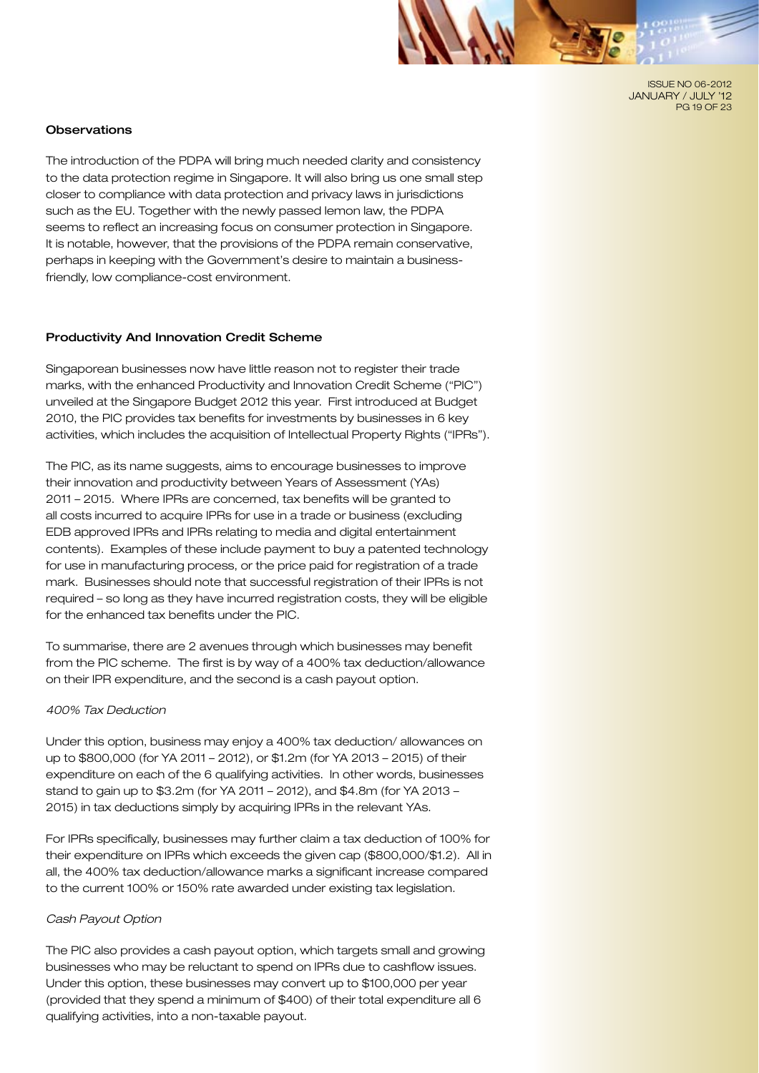ISSUE NO 06-2012 JANUARY / JULY '12 PG 19 OF 23

#### **Observations**

The introduction of the PDPA will bring much needed clarity and consistency to the data protection regime in Singapore. It will also bring us one small step closer to compliance with data protection and privacy laws in jurisdictions such as the EU. Together with the newly passed lemon law, the PDPA seems to reflect an increasing focus on consumer protection in Singapore. It is notable, however, that the provisions of the PDPA remain conservative, perhaps in keeping with the Government's desire to maintain a businessfriendly, low compliance-cost environment.

#### Productivity And Innovation Credit Scheme

Singaporean businesses now have little reason not to register their trade marks, with the enhanced Productivity and Innovation Credit Scheme ("PIC") unveiled at the Singapore Budget 2012 this year. First introduced at Budget 2010, the PIC provides tax benefits for investments by businesses in 6 key activities, which includes the acquisition of Intellectual Property Rights ("IPRs").

The PIC, as its name suggests, aims to encourage businesses to improve their innovation and productivity between Years of Assessment (YAs) 2011 – 2015. Where IPRs are concerned, tax benefits will be granted to all costs incurred to acquire IPRs for use in a trade or business (excluding EDB approved IPRs and IPRs relating to media and digital entertainment contents). Examples of these include payment to buy a patented technology for use in manufacturing process, or the price paid for registration of a trade mark. Businesses should note that successful registration of their IPRs is not required – so long as they have incurred registration costs, they will be eligible for the enhanced tax benefits under the PIC.

To summarise, there are 2 avenues through which businesses may benefit from the PIC scheme. The first is by way of a 400% tax deduction/allowance on their IPR expenditure, and the second is a cash payout option.

#### *400% Tax Deduction*

Under this option, business may enjoy a 400% tax deduction/ allowances on up to \$800,000 (for YA 2011 – 2012), or \$1.2m (for YA 2013 – 2015) of their expenditure on each of the 6 qualifying activities. In other words, businesses stand to gain up to \$3.2m (for YA 2011 – 2012), and \$4.8m (for YA 2013 – 2015) in tax deductions simply by acquiring IPRs in the relevant YAs.

For IPRs specifically, businesses may further claim a tax deduction of 100% for their expenditure on IPRs which exceeds the given cap (\$800,000/\$1.2). All in all, the 400% tax deduction/allowance marks a significant increase compared to the current 100% or 150% rate awarded under existing tax legislation.

#### *Cash Payout Option*

The PIC also provides a cash payout option, which targets small and growing businesses who may be reluctant to spend on IPRs due to cashflow issues. Under this option, these businesses may convert up to \$100,000 per year (provided that they spend a minimum of \$400) of their total expenditure all 6 qualifying activities, into a non-taxable payout.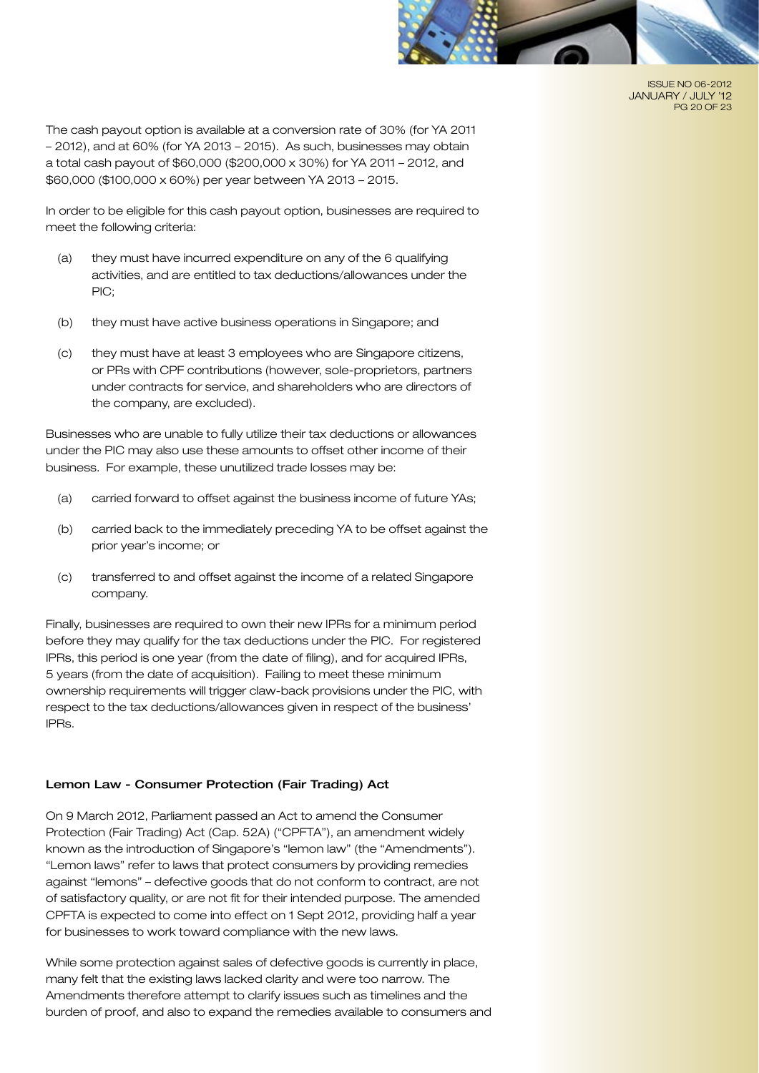

ISSUE NO 06-2012 JANUARY / JULY '12 PG 20 OF 23

The cash payout option is available at a conversion rate of 30% (for YA 2011 – 2012), and at 60% (for YA 2013 – 2015). As such, businesses may obtain a total cash payout of \$60,000 (\$200,000 x 30%) for YA 2011 – 2012, and \$60,000 (\$100,000 x 60%) per year between YA 2013 – 2015.

In order to be eligible for this cash payout option, businesses are required to meet the following criteria:

- (a) they must have incurred expenditure on any of the 6 qualifying activities, and are entitled to tax deductions/allowances under the PIC;
- (b) they must have active business operations in Singapore; and
- (c) they must have at least 3 employees who are Singapore citizens, or PRs with CPF contributions (however, sole-proprietors, partners under contracts for service, and shareholders who are directors of the company, are excluded).

Businesses who are unable to fully utilize their tax deductions or allowances under the PIC may also use these amounts to offset other income of their business. For example, these unutilized trade losses may be:

- (a) carried forward to offset against the business income of future YAs;
- (b) carried back to the immediately preceding YA to be offset against the prior year's income; or
- (c) transferred to and offset against the income of a related Singapore company.

Finally, businesses are required to own their new IPRs for a minimum period before they may qualify for the tax deductions under the PIC. For registered IPRs, this period is one year (from the date of filing), and for acquired IPRs, 5 years (from the date of acquisition). Failing to meet these minimum ownership requirements will trigger claw-back provisions under the PIC, with respect to the tax deductions/allowances given in respect of the business' IPRs.

#### Lemon Law - Consumer Protection (Fair Trading) Act

On 9 March 2012, Parliament passed an Act to amend the Consumer Protection (Fair Trading) Act (Cap. 52A) ("CPFTA"), an amendment widely known as the introduction of Singapore's "lemon law" (the "Amendments"). "Lemon laws" refer to laws that protect consumers by providing remedies against "lemons" – defective goods that do not conform to contract, are not of satisfactory quality, or are not fit for their intended purpose. The amended CPFTA is expected to come into effect on 1 Sept 2012, providing half a year for businesses to work toward compliance with the new laws.

While some protection against sales of defective goods is currently in place, many felt that the existing laws lacked clarity and were too narrow. The Amendments therefore attempt to clarify issues such as timelines and the burden of proof, and also to expand the remedies available to consumers and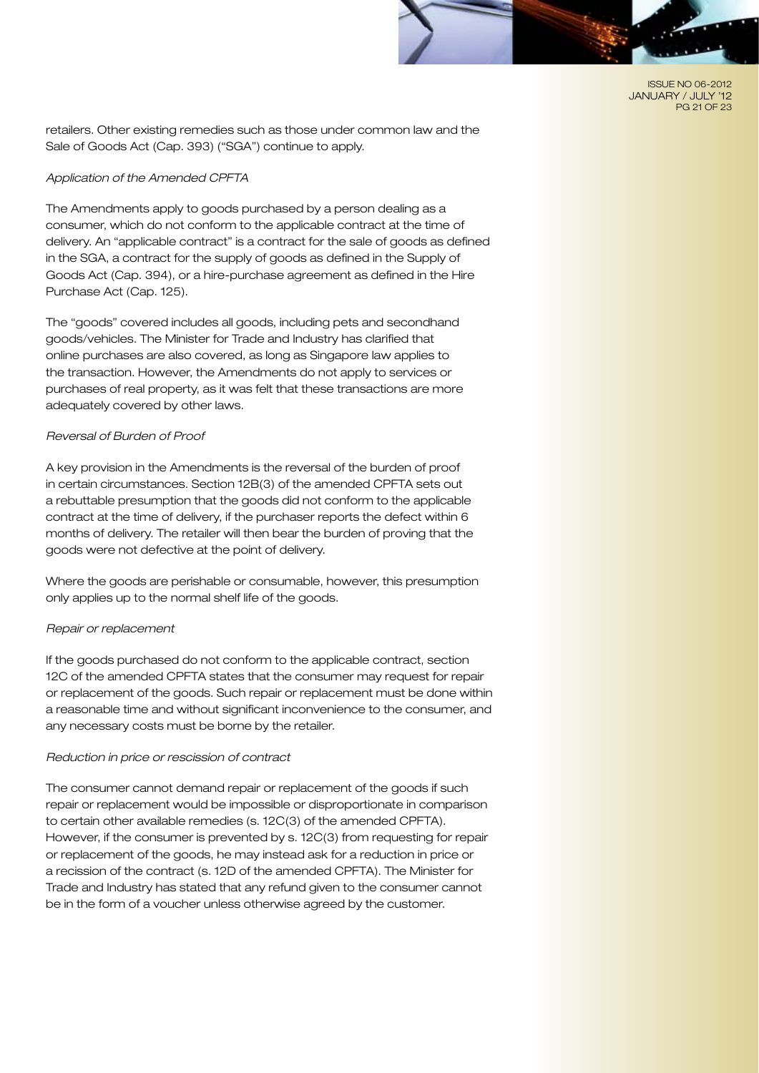ISSUE NO 06-2012 JANUARY / JULY '12 PG 21 OF 23

retailers. Other existing remedies such as those under common law and the Sale of Goods Act (Cap. 393) ("SGA") continue to apply.

#### *Application of the Amended CPFTA*

The Amendments apply to goods purchased by a person dealing as a consumer, which do not conform to the applicable contract at the time of delivery. An "applicable contract" is a contract for the sale of goods as defined in the SGA, a contract for the supply of goods as defined in the Supply of Goods Act (Cap. 394), or a hire-purchase agreement as defined in the Hire Purchase Act (Cap. 125).

The "goods" covered includes all goods, including pets and secondhand goods/vehicles. The Minister for Trade and Industry has clarified that online purchases are also covered, as long as Singapore law applies to the transaction. However, the Amendments do not apply to services or purchases of real property, as it was felt that these transactions are more adequately covered by other laws.

#### *Reversal of Burden of Proof*

A key provision in the Amendments is the reversal of the burden of proof in certain circumstances. Section 12B(3) of the amended CPFTA sets out a rebuttable presumption that the goods did not conform to the applicable contract at the time of delivery, if the purchaser reports the defect within 6 months of delivery. The retailer will then bear the burden of proving that the goods were not defective at the point of delivery.

Where the goods are perishable or consumable, however, this presumption only applies up to the normal shelf life of the goods.

#### *Repair or replacement*

If the goods purchased do not conform to the applicable contract, section 12C of the amended CPFTA states that the consumer may request for repair or replacement of the goods. Such repair or replacement must be done within a reasonable time and without significant inconvenience to the consumer, and any necessary costs must be borne by the retailer.

#### *Reduction in price or rescission of contract*

The consumer cannot demand repair or replacement of the goods if such repair or replacement would be impossible or disproportionate in comparison to certain other available remedies (s. 12C(3) of the amended CPFTA). However, if the consumer is prevented by s. 12C(3) from requesting for repair or replacement of the goods, he may instead ask for a reduction in price or a recission of the contract (s. 12D of the amended CPFTA). The Minister for Trade and Industry has stated that any refund given to the consumer cannot be in the form of a voucher unless otherwise agreed by the customer.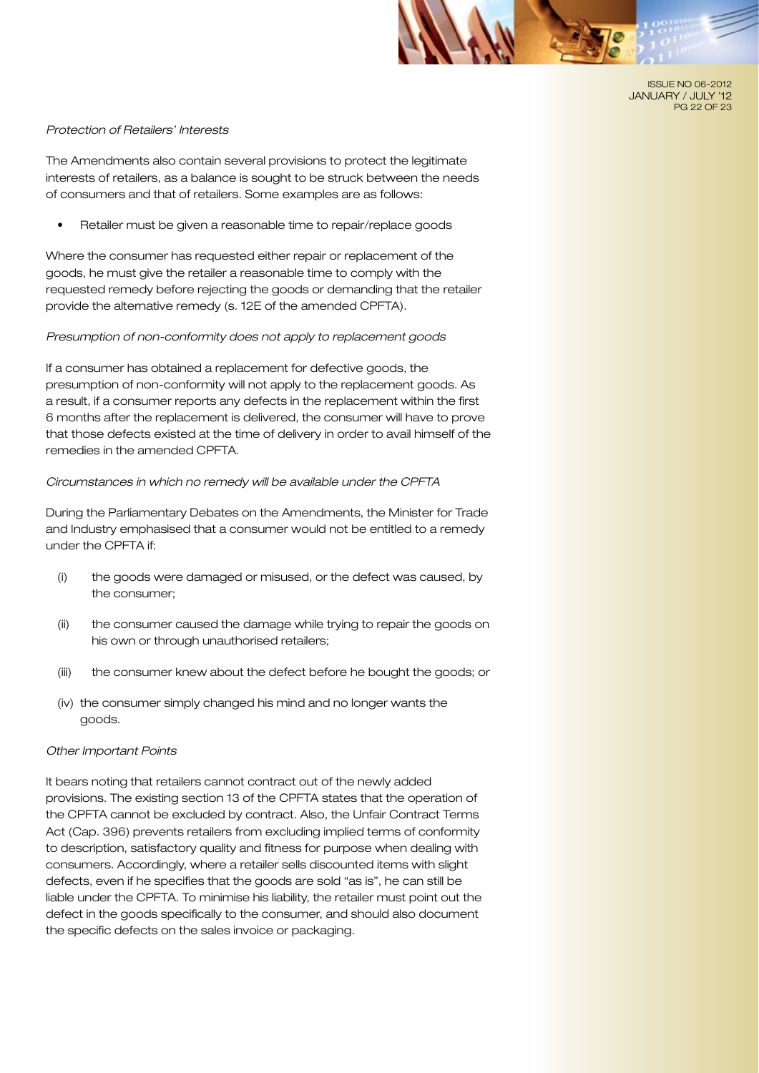

ISSUE NO 06-2012 JANUARY / JULY '12 PG 22 OF 23

#### *Protection of Retailers' Interests*

The Amendments also contain several provisions to protect the legitimate interests of retailers, as a balance is sought to be struck between the needs of consumers and that of retailers. Some examples are as follows:

Retailer must be given a reasonable time to repair/replace goods

Where the consumer has requested either repair or replacement of the goods, he must give the retailer a reasonable time to comply with the requested remedy before rejecting the goods or demanding that the retailer provide the alternative remedy (s. 12E of the amended CPFTA).

#### *Presumption of non-conformity does not apply to replacement goods*

If a consumer has obtained a replacement for defective goods, the presumption of non-conformity will not apply to the replacement goods. As a result, if a consumer reports any defects in the replacement within the first 6 months after the replacement is delivered, the consumer will have to prove that those defects existed at the time of delivery in order to avail himself of the remedies in the amended CPFTA.

#### *Circumstances in which no remedy will be available under the CPFTA*

During the Parliamentary Debates on the Amendments, the Minister for Trade and Industry emphasised that a consumer would not be entitled to a remedy under the CPFTA if:

- (i) the goods were damaged or misused, or the defect was caused, by the consumer;
- (ii) the consumer caused the damage while trying to repair the goods on his own or through unauthorised retailers;
- (iii) the consumer knew about the defect before he bought the goods; or
- (iv) the consumer simply changed his mind and no longer wants the goods.

#### *Other Important Points*

It bears noting that retailers cannot contract out of the newly added provisions. The existing section 13 of the CPFTA states that the operation of the CPFTA cannot be excluded by contract. Also, the Unfair Contract Terms Act (Cap. 396) prevents retailers from excluding implied terms of conformity to description, satisfactory quality and fitness for purpose when dealing with consumers. Accordingly, where a retailer sells discounted items with slight defects, even if he specifies that the goods are sold "as is", he can still be liable under the CPFTA. To minimise his liability, the retailer must point out the defect in the goods specifically to the consumer, and should also document the specific defects on the sales invoice or packaging.